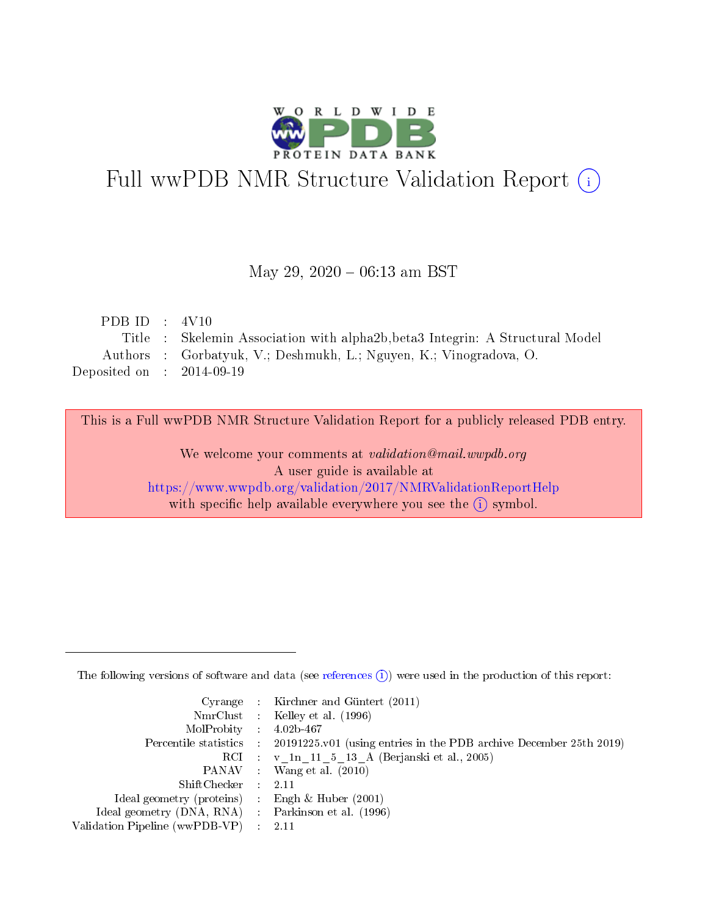

# Full wwPDB NMR Structure Validation Report (i)

## May 29,  $2020 - 06:13$  am BST

| PDB ID : $4V10$             |                                                                              |
|-----------------------------|------------------------------------------------------------------------------|
|                             | Title: Skelemin Association with alpha2b, beta3 Integrin: A Structural Model |
|                             | Authors : Gorbatyuk, V.; Deshmukh, L.; Nguyen, K.; Vinogradova, O.           |
| Deposited on : $2014-09-19$ |                                                                              |

This is a Full wwPDB NMR Structure Validation Report for a publicly released PDB entry.

We welcome your comments at validation@mail.wwpdb.org A user guide is available at <https://www.wwpdb.org/validation/2017/NMRValidationReportHelp> with specific help available everywhere you see the  $(i)$  symbol.

The following versions of software and data (see [references](https://www.wwpdb.org/validation/2017/NMRValidationReportHelp#references)  $(1)$ ) were used in the production of this report:

|                                                    | Cyrange : Kirchner and Güntert $(2011)$                                                    |
|----------------------------------------------------|--------------------------------------------------------------------------------------------|
|                                                    | NmrClust : Kelley et al. (1996)                                                            |
| $MolProbability$ 4.02b-467                         |                                                                                            |
|                                                    | Percentile statistics : 20191225.v01 (using entries in the PDB archive December 25th 2019) |
|                                                    | RCI : v 1n 11 5 13 A (Berjanski et al., 2005)                                              |
|                                                    | PANAV Wang et al. (2010)                                                                   |
| $ShiftChecker$ : 2.11                              |                                                                                            |
| Ideal geometry (proteins) : Engh $\&$ Huber (2001) |                                                                                            |
| Ideal geometry (DNA, RNA) Parkinson et al. (1996)  |                                                                                            |
| Validation Pipeline (wwPDB-VP)                     | 2.11                                                                                       |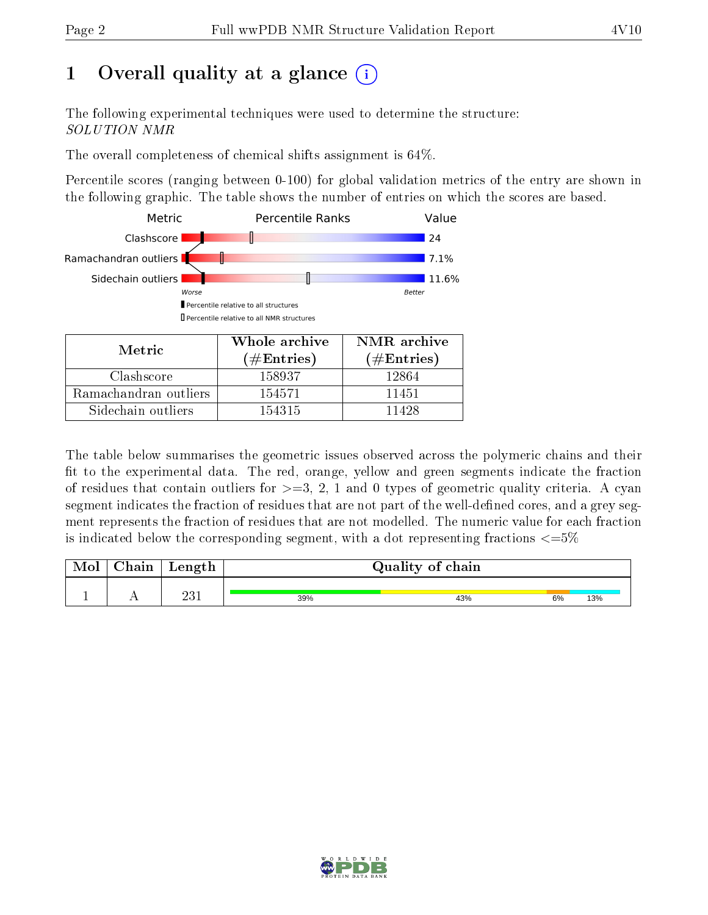# 1 [O](https://www.wwpdb.org/validation/2017/NMRValidationReportHelp#overall_quality)verall quality at a glance  $(i)$

The following experimental techniques were used to determine the structure: SOLUTION NMR

The overall completeness of chemical shifts assignment is 64%.

Percentile scores (ranging between 0-100) for global validation metrics of the entry are shown in the following graphic. The table shows the number of entries on which the scores are based.



| Metric                | <u>WHUIT</u> althive<br>(# ${\rm Entries}$ ) | $1$ VIVIIU GIUIIVU<br>$(\#Entries)$ |
|-----------------------|----------------------------------------------|-------------------------------------|
| Clashscore            | 158937                                       | 12864                               |
| Ramachandran outliers | 154571                                       | 11451                               |
| Sidechain outliers    | 154315                                       | 11428                               |

The table below summarises the geometric issues observed across the polymeric chains and their fit to the experimental data. The red, orange, yellow and green segments indicate the fraction of residues that contain outliers for  $>=3, 2, 1$  and 0 types of geometric quality criteria. A cyan segment indicates the fraction of residues that are not part of the well-defined cores, and a grey segment represents the fraction of residues that are not modelled. The numeric value for each fraction is indicated below the corresponding segment, with a dot representing fractions  $\epsilon = 5\%$ 

| <b>Mol</b> | ${\bf Chain}$ | Length      |     | Quality of chain |    |     |
|------------|---------------|-------------|-----|------------------|----|-----|
|            |               |             |     |                  |    |     |
|            |               | າາ∵<br>∠∪ ⊥ | 39% | 43%              | 6% | 13% |

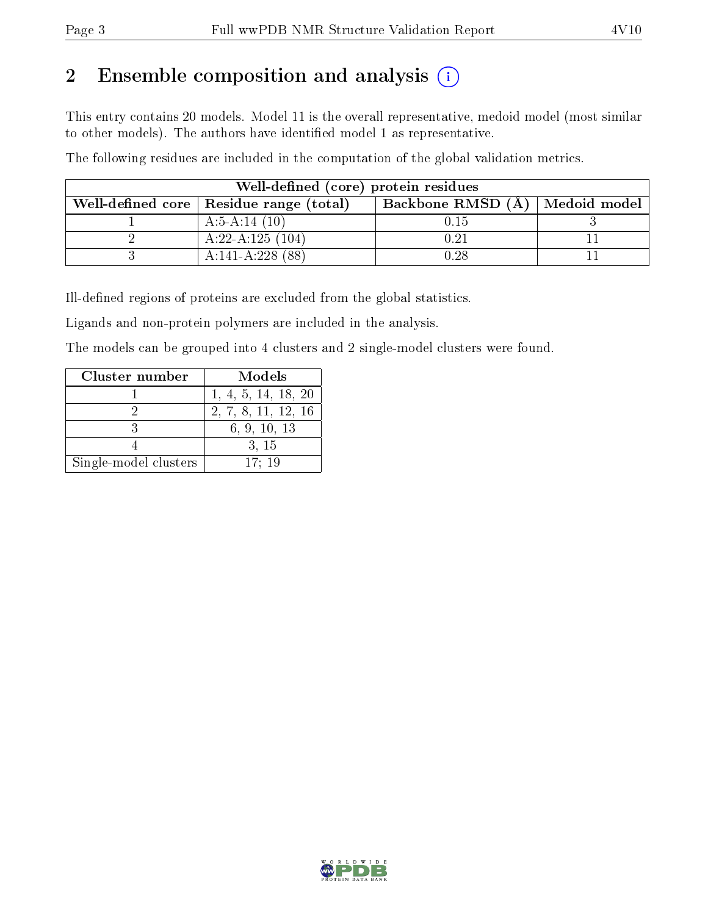# 2 Ensemble composition and analysis  $(i)$

This entry contains 20 models. Model 11 is the overall representative, medoid model (most similar to other models). The authors have identified model 1 as representative.

The following residues are included in the computation of the global validation metrics.

| Well-defined (core) protein residues                                            |                    |      |  |  |  |  |  |
|---------------------------------------------------------------------------------|--------------------|------|--|--|--|--|--|
| Backbone RMSD (A)   Medoid model  <br>Well-defined core   Residue range (total) |                    |      |  |  |  |  |  |
|                                                                                 | A:5-A:14 $(10)$    | 0.15 |  |  |  |  |  |
|                                                                                 | A:22-A:125 $(104)$ | 0.21 |  |  |  |  |  |
|                                                                                 | $A:141-A:228(88)$  | 0.28 |  |  |  |  |  |

Ill-defined regions of proteins are excluded from the global statistics.

Ligands and non-protein polymers are included in the analysis.

The models can be grouped into 4 clusters and 2 single-model clusters were found.

| Cluster number        | Models              |
|-----------------------|---------------------|
|                       | 1, 4, 5, 14, 18, 20 |
|                       | 2, 7, 8, 11, 12, 16 |
|                       | 6, 9, 10, 13        |
|                       | 3, 15               |
| Single-model clusters | 17:19               |

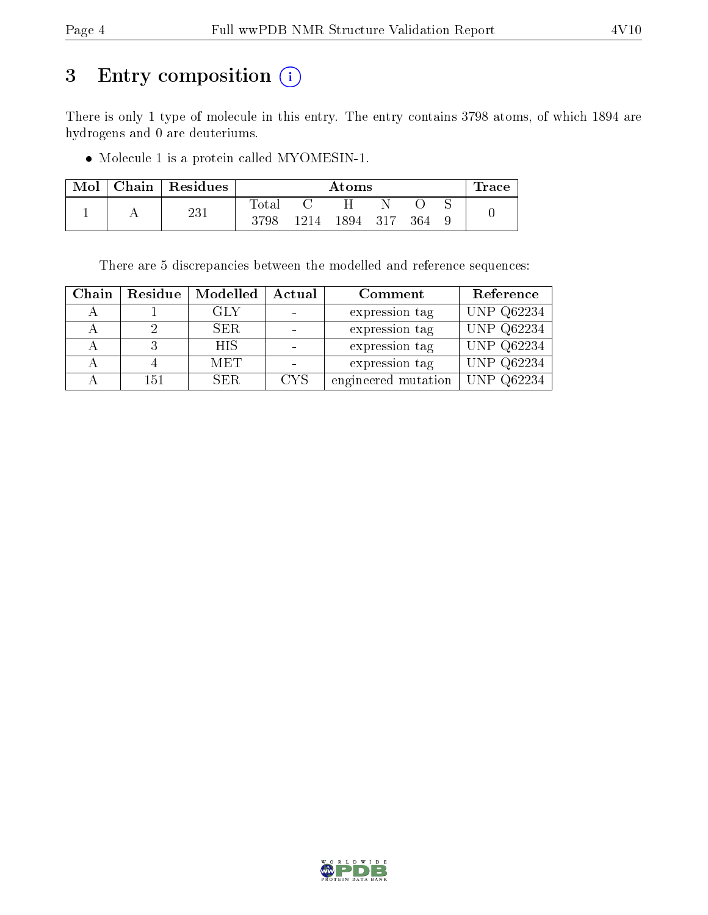# 3 Entry composition (i)

There is only 1 type of molecule in this entry. The entry contains 3798 atoms, of which 1894 are hydrogens and 0 are deuteriums.

 $\bullet$  Molecule 1 is a protein called MYOMESIN-1.

| Mol | ${\rm Chain}$ | Residues | Atoms       |      |      |     |     | $\pm$ race |  |
|-----|---------------|----------|-------------|------|------|-----|-----|------------|--|
|     |               | 221      | $\rm Total$ |      |      |     |     |            |  |
|     |               | ∠∪ ⊥     | 3798        | 1214 | 1894 | 317 | 364 |            |  |

There are 5 discrepancies between the modelled and reference sequences:

| Chain | Residue | Modelled   | Actual     | Comment             | Reference  |
|-------|---------|------------|------------|---------------------|------------|
|       |         | GLY        |            | expression tag      | UNP Q62234 |
|       |         | SER.       |            | expression tag      | UNP Q62234 |
|       |         | <b>HIS</b> |            | expression tag      | UNP Q62234 |
|       |         | <b>MET</b> |            | expression tag      | UNP Q62234 |
|       | 151     | SER.       | <b>CYS</b> | engineered mutation | UNP Q62234 |

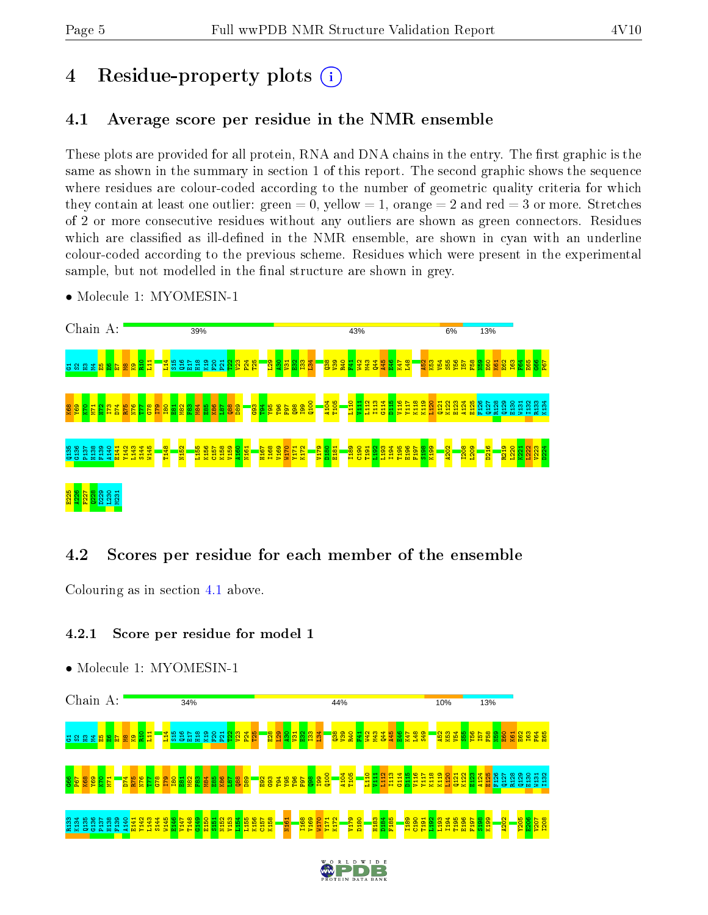# 4 Residue-property plots  $(i)$

## <span id="page-4-0"></span>4.1 Average score per residue in the NMR ensemble

These plots are provided for all protein, RNA and DNA chains in the entry. The first graphic is the same as shown in the summary in section 1 of this report. The second graphic shows the sequence where residues are colour-coded according to the number of geometric quality criteria for which they contain at least one outlier: green  $= 0$ , yellow  $= 1$ , orange  $= 2$  and red  $= 3$  or more. Stretches of 2 or more consecutive residues without any outliers are shown as green connectors. Residues which are classified as ill-defined in the NMR ensemble, are shown in cyan with an underline colour-coded according to the previous scheme. Residues which were present in the experimental sample, but not modelled in the final structure are shown in grey.

• Molecule 1: MYOMESIN-1



## 4.2 Scores per residue for each member of the ensemble

Colouring as in section [4.1](#page-4-0) above.

## 4.2.1 Score per residue for model 1

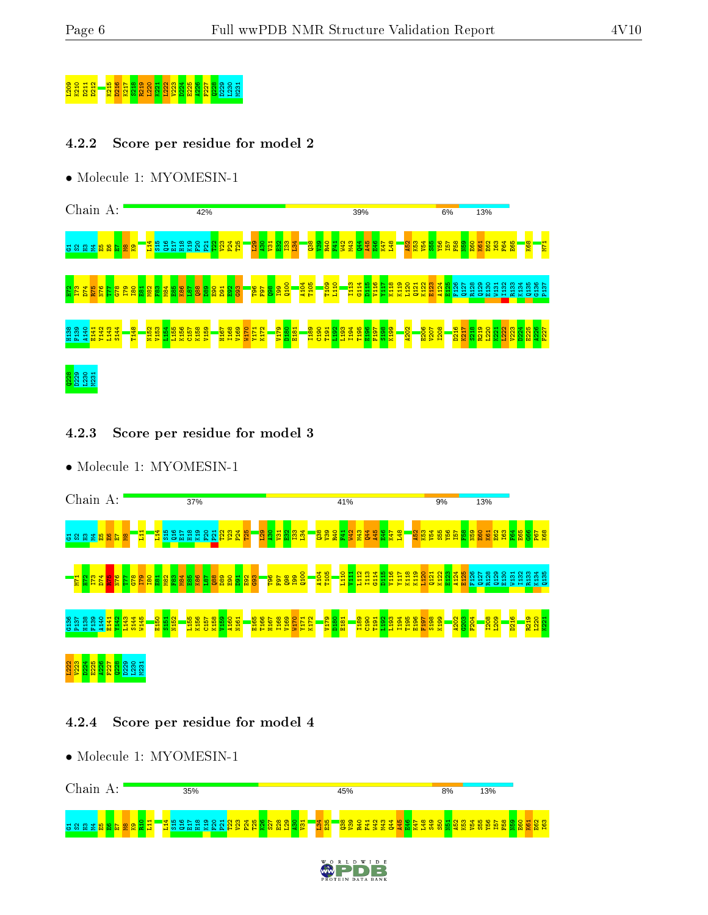# $\frac{1}{20}$   $\frac{1}{20}$   $\frac{1}{20}$   $\frac{1}{20}$   $\frac{1}{20}$   $\frac{1}{20}$   $\frac{1}{20}$   $\frac{1}{20}$   $\frac{1}{20}$   $\frac{1}{20}$   $\frac{1}{20}$   $\frac{1}{20}$   $\frac{1}{20}$   $\frac{1}{20}$   $\frac{1}{20}$   $\frac{1}{20}$   $\frac{1}{20}$   $\frac{1}{20}$   $\frac{1}{20}$   $\frac{1}{20}$

## 4.2.2 Score per residue for model 2

• Molecule 1: MYOMESIN-1



## 4.2.3 Score per residue for model 3

• Molecule 1: MYOMESIN-1



## 4.2.4 Score per residue for model 4



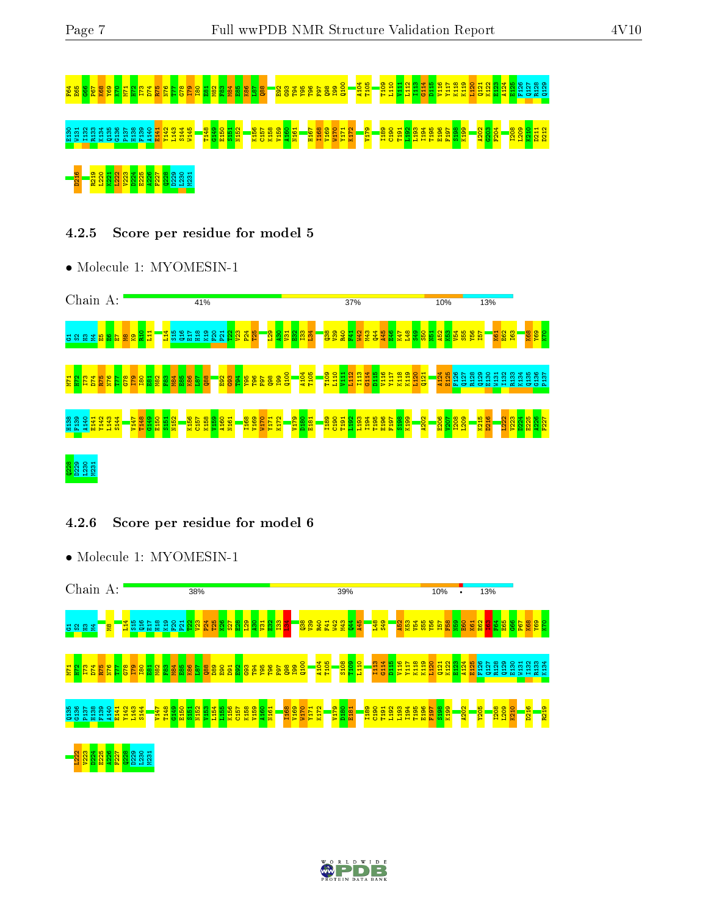# F64 E65 G66 P67 K68 Y69 K70 M71 H72 I73 D74 R75 N76 T77 G78 I79 I80 E81 M82 F83 M84 E85 K86 L87 Q88 E92 G93 T94 Y95 T96 F97 Q98 I99 Q100 A104 T105 T109 L110 V111 L112 I113 G114 D115 V116 Y117 K118 K119 L120 Q121 K122 E123 A124 E125 F126 Q127 R128 Q129 뙨者且音音남약법 또한 작업 기업 기업 대학법 및 대학법 이 대학법 이 대학 대학 대학 대학 대학법 대학법 대학 대학 이 경쟁 이 대학 정보 대학 이 대학<br>영업 영업 영업 영업 영업 기업 기업 이 대학법 이 대학 대학 이 대학 대학 대학 대학 대학 대학 대학 대학 대학 이 영업 이 대학 이 대학 이 대학 <u>pa da 19 randa e</u><br><u>Da 19 randa ez <mark>1</mark><br>Da 19 randa ez 19 randa ez 19 randa ez 19 randa ez 19 randa ez 19 randa ez 19 randa ez 19 randa ez 19 randa ez</u>

## 4.2.5 Score per residue for model 5

• Molecule 1: MYOMESIN-1



## 4.2.6 Score per residue for model 6



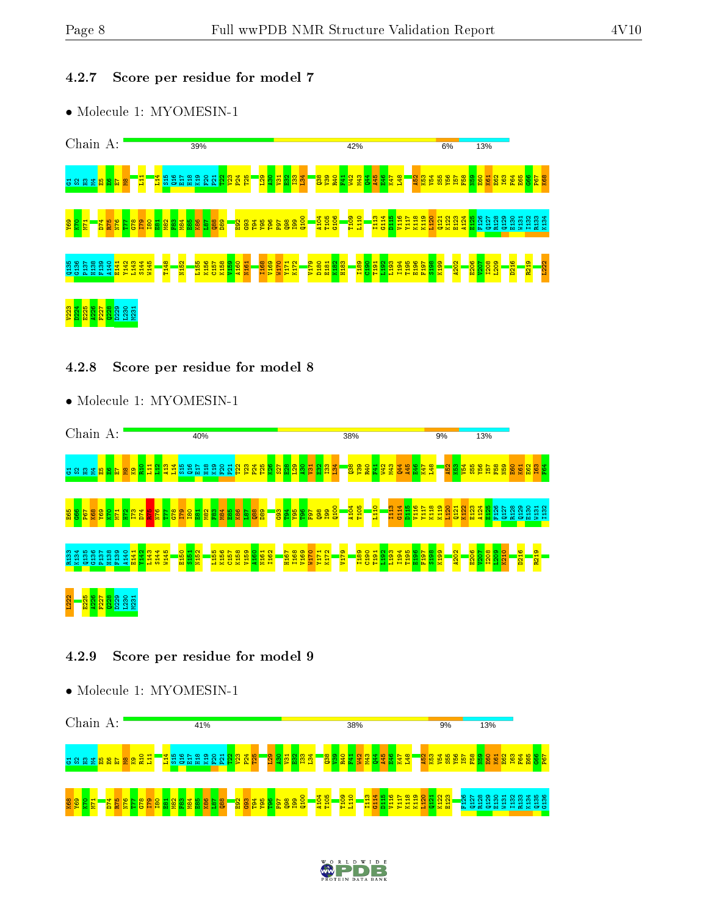## 4.2.7 Score per residue for model 7

• Molecule 1: MYOMESIN-1



#### 4.2.8 Score per residue for model 8

• Molecule 1: MYOMESIN-1



### 4.2.9 Score per residue for model 9



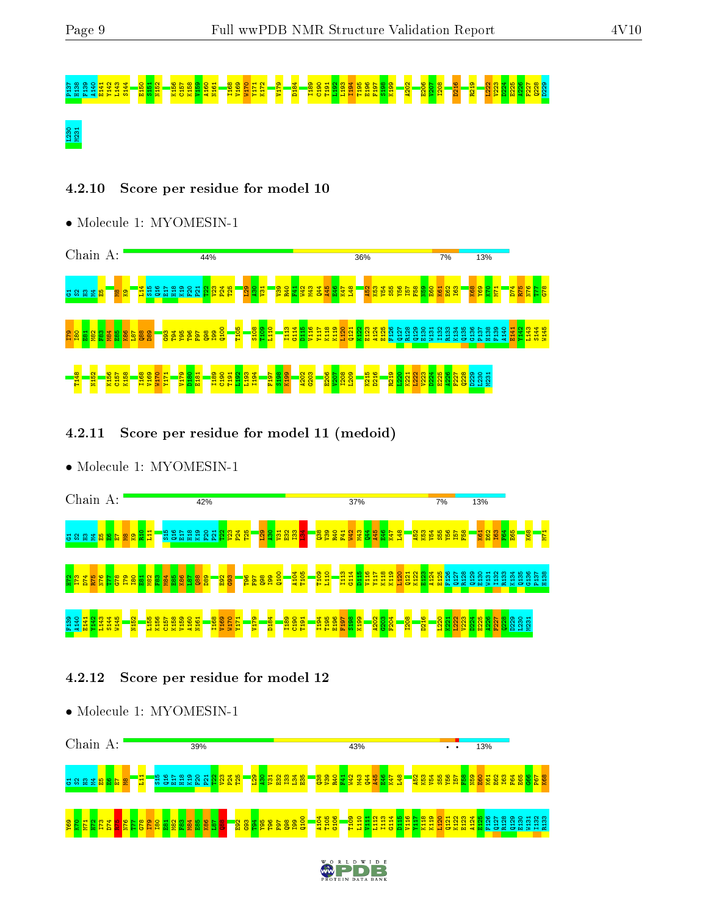# P137 H138 F139 A140 E141 Y142 L143 S144 E150 S151 N152 K156 C157 K158 V159 A160 N161 I168 V169 W170 Y171 K172 V179 D184 I189 C190 T191 L192 L193 I194 T195 E196 F197 S198 K199 A202 E206 V207 I208 D216 R219 L222 V223 D224 E225 A226 F227 Q228 D229 L230 M231

## 4.2.10 Score per residue for model 10

• Molecule 1: MYOMESIN-1



4.2.11 Score per residue for model 11 (medoid)

• Molecule 1: MYOMESIN-1



## 4.2.12 Score per residue for model 12



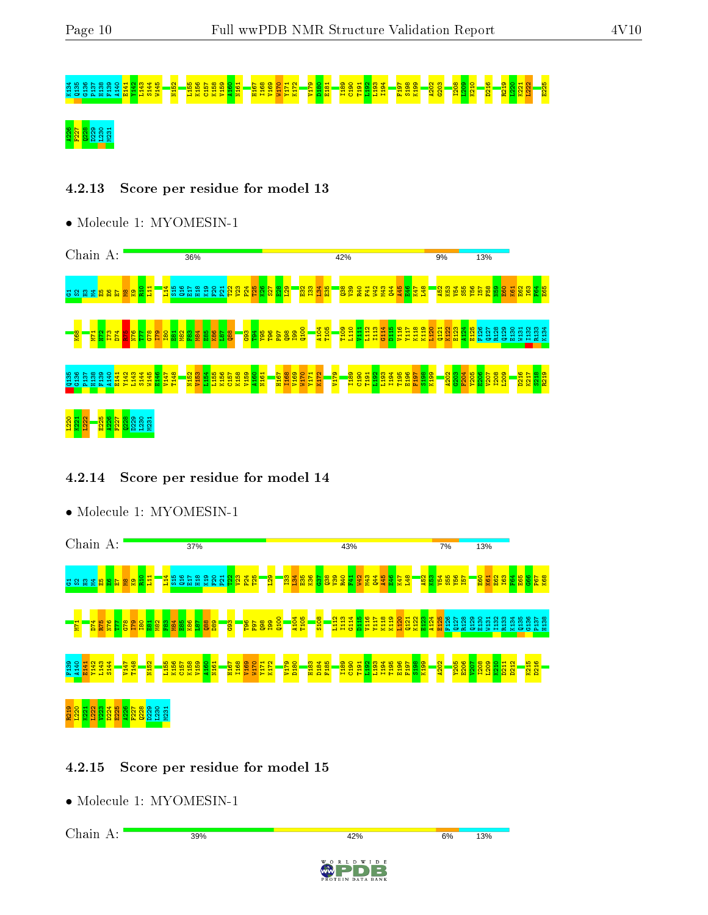# K134 Q135 G136 P137 H138 F139 A140 E141 Y142 L143 S144 W145 N152 L155 K156 C157 K158 V159 A160 N161 H167 I168 V169 W170 Y171 K172 V179 D180 E181 I189 C190 T191 L192 L193 I194 F197 S198 K199 A202 G203 I208 L209 K210 D216 R219 L220 K221 L222 E225 <mark>ន្ត្រី ន</mark><br>ខ្លួន

## 4.2.13 Score per residue for model 13

• Molecule 1: MYOMESIN-1



## 4.2.14 Score per residue for model 14



## • Molecule 1: MYOMESIN-1

## 4.2.15 Score per residue for model 15

• Molecule 1: MYOMESIN-1

Chain A:

39%

#### 6%

13%



42%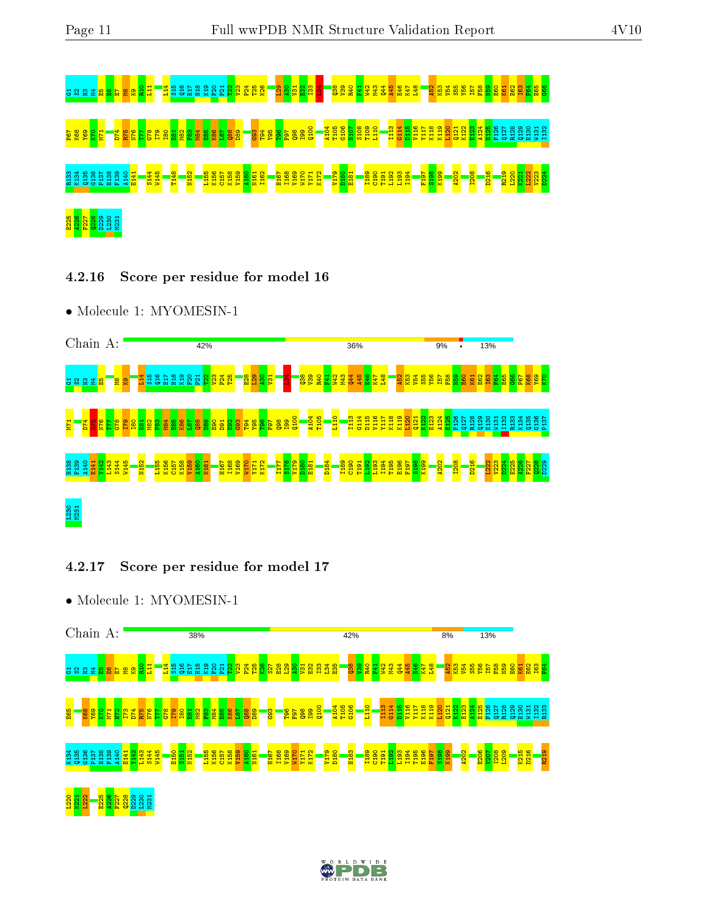

4.2.16 Score per residue for model 16

• Molecule 1: MYOMESIN-1



## 4.2.17 Score per residue for model 17



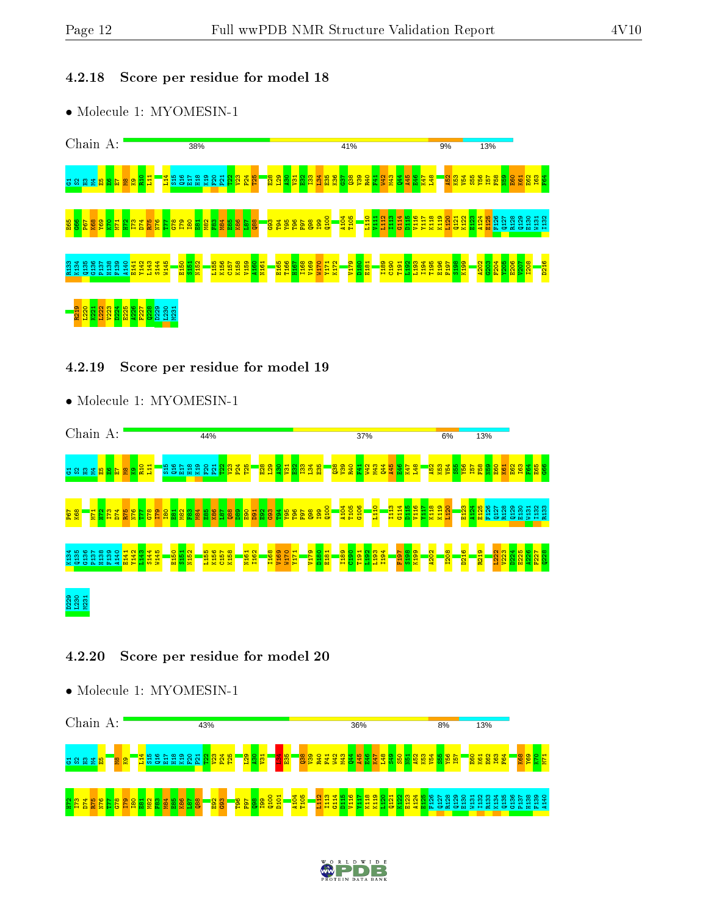## 4.2.18 Score per residue for model 18

• Molecule 1: MYOMESIN-1



### 4.2.19 Score per residue for model 19

• Molecule 1: MYOMESIN-1



## 4.2.20 Score per residue for model 20



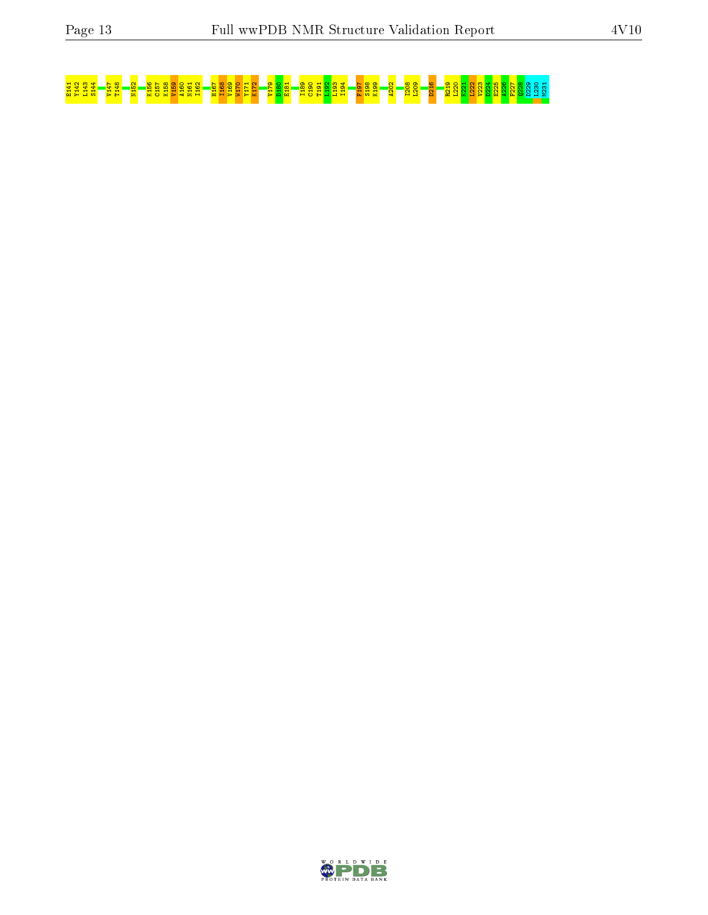# <mark>чана – ва – ва – ва зава за наради ва за се подала – ва за на се подала на – ва за за за за ва за ва за за за</mark>

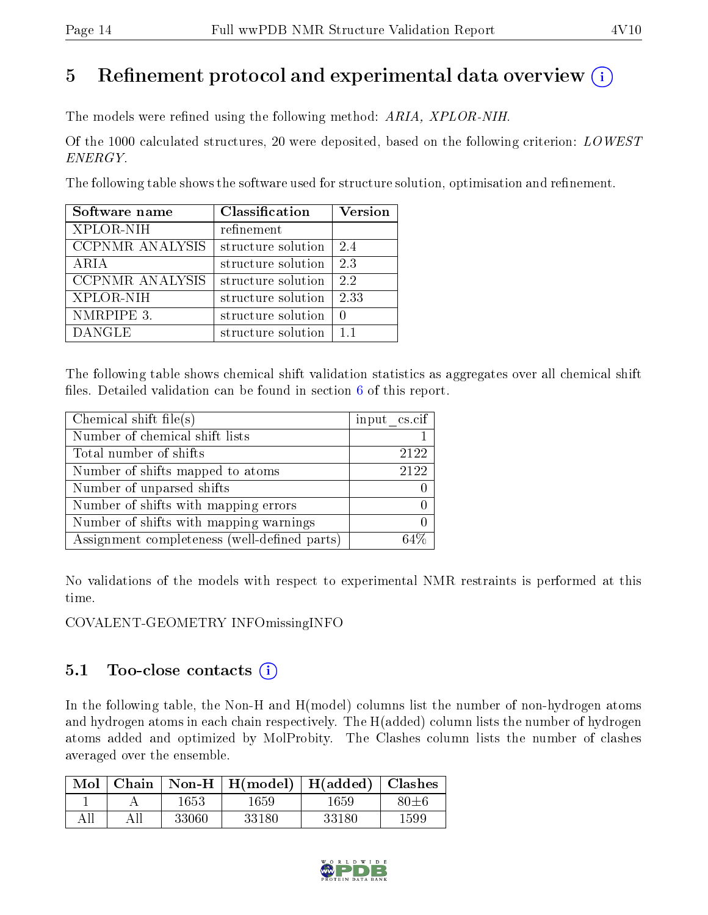# 5 Refinement protocol and experimental data overview  $\binom{1}{k}$

The models were refined using the following method: ARIA, XPLOR-NIH.

Of the 1000 calculated structures, 20 were deposited, based on the following criterion:  $LOWEST$ ENERGY.

The following table shows the software used for structure solution, optimisation and refinement.

| Software name          | Classification     | <b>Version</b> |
|------------------------|--------------------|----------------|
| XPLOR-NIH              | refinement         |                |
| CCPNMR ANALYSIS        | structure solution | 24             |
| ARIA                   | structure solution | 2.3            |
| <b>CCPNMR ANALYSIS</b> | structure solution | 2.2            |
| XPLOR-NIH              | structure solution | 2.33           |
| NMRPIPE 3.             | structure solution | $\Omega$       |
| <b>DANGLE</b>          | structure solution | 11             |

The following table shows chemical shift validation statistics as aggregates over all chemical shift files. Detailed validation can be found in section  $6$  of this report.

| Chemical shift file $(s)$                    | input $\text{cs.} \text{cif}$ |
|----------------------------------------------|-------------------------------|
| Number of chemical shift lists               |                               |
| Total number of shifts                       | 2122                          |
| Number of shifts mapped to atoms             | 2122                          |
| Number of unparsed shifts                    |                               |
| Number of shifts with mapping errors         |                               |
| Number of shifts with mapping warnings       |                               |
| Assignment completeness (well-defined parts) |                               |

No validations of the models with respect to experimental NMR restraints is performed at this time.

COVALENT-GEOMETRY INFOmissingINFO

## 5.1 Too-close contacts  $(i)$

In the following table, the Non-H and H(model) columns list the number of non-hydrogen atoms and hydrogen atoms in each chain respectively. The H(added) column lists the number of hydrogen atoms added and optimized by MolProbity. The Clashes column lists the number of clashes averaged over the ensemble.

| Mol | Chain |       | $\mid$ Non-H $\mid$ H(model) $\mid$ H(added) $\mid$ Clashes |       |      |
|-----|-------|-------|-------------------------------------------------------------|-------|------|
|     |       | 1653  | 1659                                                        | 1659  | 80+6 |
|     |       | 33060 | 33180                                                       | 33180 | 1599 |

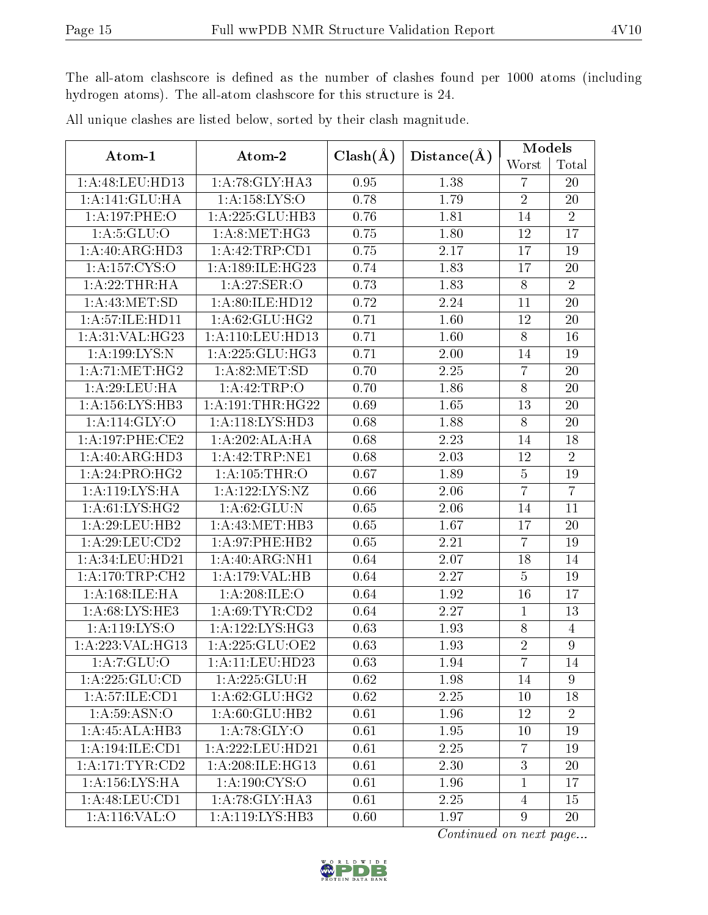The all-atom clashscore is defined as the number of clashes found per 1000 atoms (including hydrogen atoms). The all-atom clashscore for this structure is 24.

| Atom-1                       | Atom-2               | $Clash(\AA)$ | Distance(A) | Models         |                  |  |
|------------------------------|----------------------|--------------|-------------|----------------|------------------|--|
|                              |                      |              |             | Worst          | Total            |  |
| 1:A:48:LEU:HD13              | 1:A:78:GLY:HA3       | 0.95         | 1.38        | $\overline{7}$ | 20               |  |
| 1:A:141:GLU:HA               | 1: A: 158: LYS: O    | 0.78         | 1.79        | $\overline{2}$ | 20               |  |
| 1:A:197:PHE:O                | 1:A:225:GLU:HB3      | 0.76         | 1.81        | 14             | $\overline{2}$   |  |
| 1: A:5: GLU:O                | 1: A:8: MET:HG3      | 0.75         | 1.80        | 12             | 17               |  |
| 1: A:40: ARG:HD3             | 1:A:42:TRP:CD1       | 0.75         | 2.17        | 17             | 19               |  |
| 1: A: 157: CYS:O             | 1:A:189:ILE:HG23     | 0.74         | 1.83        | 17             | 20               |  |
| 1:A:22:THR:HA                | 1:A:27:SER:O         | 0.73         | 1.83        | $8\,$          | $\overline{2}$   |  |
| 1: A: 43: MET:SD             | 1:A:80:ILE:HD12      | 0.72         | 2.24        | 11             | 20               |  |
| 1:A:57:ILE:HD11              | 1:A:62:GLU:HG2       | 0.71         | 1.60        | 12             | 20               |  |
| 1:A:31:VAL:HG23              | 1: A: 110: LEU: HD13 | 0.71         | 1.60        | $8\,$          | 16               |  |
| 1: A: 199: LYS:N             | 1:A:225:GLU:HG3      | 0.71         | 2.00        | 14             | 19               |  |
| 1: A:71: MET:HG2             | 1: A:82: MET:SD      | 0.70         | 2.25        | $\overline{7}$ | 20               |  |
| 1: A:29:LEU:HA               | 1:A:42:TRP:O         | 0.70         | 1.86        | $8\,$          | 20               |  |
| 1: A: 156: LYS: HB3          | 1: A:191:THR:HG22    | 0.69         | 1.65        | 13             | 20               |  |
| 1:A:114:GLY:O                | 1: A:118: LYS: HD3   | 0.68         | 1.88        | 8              | 20               |  |
| 1: A:197:PHE:CE2             | 1:A:202:ALA:HA       | 0.68         | 2.23        | 14             | 18               |  |
| 1: A:40: ARG:HD3             | 1:A:42:TRP:NE1       | 0.68         | 2.03        | 12             | $\overline{2}$   |  |
| 1:A:24:PRO:HG2               | $1:A:105$ : THR: O   | 0.67         | 1.89        | $\bf 5$        | 19               |  |
| 1:A:119:LYS:HA               | 1: A: 122: LYS: NZ   | 0.66         | 2.06        | $\overline{7}$ | $\overline{7}$   |  |
| 1: A:61: LYS: HG2            | 1: A:62: GLU:N       | 0.65         | 2.06        | 14             | 11               |  |
| 1:A:29:LEU:HB2               | 1: A: 43: MET: HB3   | 0.65         | 1.67        | 17             | 20               |  |
| 1:A:29:LEU:CD2               | 1:A:97:PHE:HB2       | 0.65         | 2.21        | $\overline{7}$ | 19               |  |
| 1: A:34:LEU:HD21             | 1: A:40:ARG:NH1      | 0.64         | 2.07        | 18             | 14               |  |
| 1: A:170:TRP:CH2             | 1:A:179:VAL:HB       | 0.64         | 2.27        | $\overline{5}$ | 19               |  |
| 1:A:168:ILE:HA               | 1:A:208:ILE:O        | 0.64         | 1.92        | 16             | 17               |  |
| $1: A:68:LY\overline{S:HE3}$ | 1: A:69:TYR:CD2      | 0.64         | 2.27        | $\mathbf{1}$   | 13               |  |
| 1:A:119:LYS:O                | 1:A:122:LYS:HG3      | 0.63         | 1.93        | $8\,$          | $\overline{4}$   |  |
| 1:A:223:VAL:HG13             | 1: A:225: GLU:OE2    | 0.63         | 1.93        | $\sqrt{2}$     | $\boldsymbol{9}$ |  |
| 1: A: 7: GLU: O              | 1:A:11:LEU:HD23      | 0.63         | 1.94        | 7              | 14               |  |
| 1:A:225:GLU:CD               | 1:A:225:GLU:H        | 0.62         | 1.98        | 14             | $\overline{9}$   |  |
| 1:A:57:ILE:CD1               | 1:A:62:GLU:HG2       | 0.62         | 2.25        | 10             | 18               |  |
| $1: A:59: \overline{ASN:O}$  | 1:A:60:GLU:HB2       | 0.61         | 1.96        | 12             | $\overline{2}$   |  |
| 1:A:45:ALA:HB3               | 1: A:78: GLY:O       | 0.61         | 1.95        | 10             | 19               |  |
| 1:A:194:ILE:CD1              | 1: A: 222: LEU: HD21 | 0.61         | 2.25        | $\overline{7}$ | 19               |  |
| 1:A:171:TYR:CD2              | 1:A:208:ILE:HG13     | 0.61         | 2.30        | 3              | 20               |  |
| 1: A: 156: LYS: HA           | 1: A:190: CYS:O      | 0.61         | 1.96        | $\mathbf{1}$   | 17               |  |
| 1: A:48: LEU:CD1             | 1: A:78: GLY:HA3     | 0.61         | 2.25        | $\overline{4}$ | 15               |  |
| 1:A:116:VAL:O                | 1:A:119:LYS:HB3      | 0.60         | 1.97        | 9              | 20               |  |

All unique clashes are listed below, sorted by their clash magnitude.

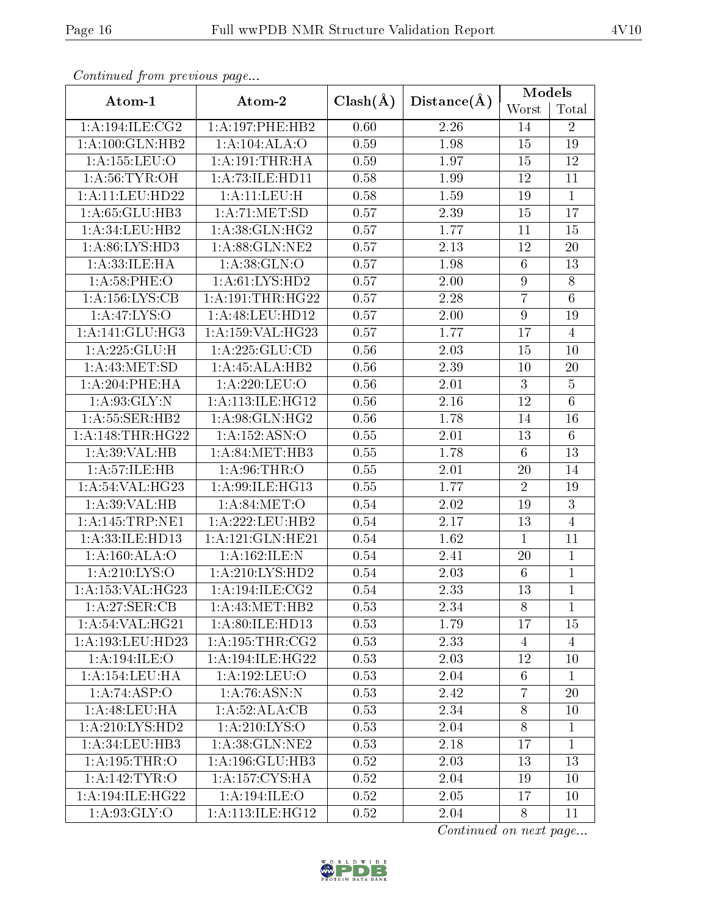| Conningea from previous page |                     |              |                   | Models           |                 |  |
|------------------------------|---------------------|--------------|-------------------|------------------|-----------------|--|
| Atom-1                       | Atom-2              | $Clash(\AA)$ | Distance(A)       | Worst            | Total           |  |
| 1: A:194: ILE: CG2           | 1:A:197:PHE:HB2     | 0.60         | 2.26              | 14               | $\overline{2}$  |  |
| 1:A:100:GLN:HB2              | 1:A:104:ALA:O       |              | 1.98              | 15               | 19              |  |
| 1:A:155:LEU:O                | 1: A:191:THR:HA     | 0.59         | 1.97              | 15               | 12              |  |
| 1: A:56: TYR:OH              | 1:A:73:ILE:HD11     | 0.58         | 1.99              | 12               | 11              |  |
| 1:A:11:LEU:HD22              | $1:$ A: $11:$ LEU:H | 0.58         | 1.59              | 19               | $\overline{1}$  |  |
| 1:A:65:GLU:HB3               | 1: A:71: MET:SD     | 0.57         | 2.39              | 15               | 17              |  |
| 1:A:34:LEU:HB2               | 1:A:38:GLN:HG2      | 0.57         | 1.77              | 11               | 15              |  |
| 1: A:86: LYS:HD3             | 1:A:88:GLN:NE2      | 0.57         | 2.13              | 12               | 20              |  |
| 1: A: 33: ILE: HA            | 1: A: 38: GLN:O     | 0.57         | 1.98              | $\,6\,$          | $\overline{13}$ |  |
| 1: A:58:PHE:O                | 1: A: 61: LYS: HD2  | 0.57         | 2.00              | $\boldsymbol{9}$ | $8\,$           |  |
| 1: A: 156: LYS: CB           | 1:A:191:THR:HG22    | 0.57         | 2.28              | $\overline{7}$   | $\overline{6}$  |  |
| 1:A:47:LYS:O                 | 1:A:48:LEU:HD12     | 0.57         | 2.00              | $\boldsymbol{9}$ | 19              |  |
| 1: A:141: GLU:HG3            | 1:A:159:VAL:HG23    | 0.57         | 1.77              | 17               | $\overline{4}$  |  |
| 1:A:225:GLU:H                | 1:A:225:GLU:CD      | 0.56         | 2.03              | 15               | 10              |  |
| 1: A: 43: MET: SD            | 1:A:45:ALA:HB2      | 0.56         | 2.39              | 10               | 20              |  |
| 1: A:204:PHE:HA              | 1:A:220:LEU:O       | 0.56         | $\overline{2.01}$ | $\mathbf{3}$     | $\overline{5}$  |  |
| 1: A:93: GLY:N               | $1:$ A:113:ILE:HG12 | 0.56         | 2.16              | 12               | $\sqrt{6}$      |  |
| 1: A: 55: SER: HB2           | 1:A:98:GLN:HG2      | $0.56\,$     | 1.78              | $14\,$           | $\overline{16}$ |  |
| 1: A:148:THR:HG22            | 1:A:152:ASN:O       | 0.55         | 2.01              | 13               | $6\phantom{.}6$ |  |
| 1:A:39:VAL:HB                | 1: A:84:MET:HB3     | 0.55         | 1.78              | $6\phantom{.}6$  | 13              |  |
| 1: A:57: ILE: HB             | 1: A:96:THR:O       | 0.55         | 2.01              | 20               | 14              |  |
| 1: A:54:VAL:HG23             | 1:A:99:ILE:HG13     | 0.55         | 1.77              | $\overline{2}$   | 19              |  |
| 1:A:39:VAL:HB                | 1: A:84: MET:O      | $0.54\,$     | 2.02              | 19               | $\overline{3}$  |  |
| 1:A:145:TRP:NE1              | 1:A:222:LEU:HB2     | 0.54         | 2.17              | 13               | $\overline{4}$  |  |
| 1:A:33:ILE:HD13              | 1:A:121:GLN:HE21    | 0.54         | 1.62              | $\mathbf{1}$     | 11              |  |
| 1:A:160:ALA:O                | 1:A:162:ILE:N       | 0.54         | 2.41              | 20               | $\overline{1}$  |  |
| 1:A:210:LYS:O                | 1: A:210: LYS: HD2  | 0.54         | 2.03              | $\,6\,$          | $\mathbf{1}$    |  |
| 1:A:153:VAL:HG23             | 1:A:194:ILE:CG2     | 0.54         | 2.33              | 13               | $\overline{1}$  |  |
| 1: A:27: SER:CB              | 1: A: 43: MET: HB2  | 0.53         | 2.34              | 8                | 1               |  |
| 1: A:54: VAL:HG21            | 1:A:80:ILE:HD13     | 0.53         | 1.79              | 17               | 15              |  |
| 1: A: 193: LEU: HD23         | 1:A:195:THR:CG2     | 0.53         | 2.33              | 4                | $\overline{4}$  |  |
| 1:A:194:ILE:O                | 1:A:194:ILE:HG22    | 0.53         | 2.03              | 12               | 10              |  |
| 1: A: 154: LEU: HA           | 1: A: 192: LEU: O   | 0.53         | 2.04              | $6\phantom{.}6$  | $\mathbf{1}$    |  |
| 1:A:74:ASP:O                 | 1: A:76: ASN:N      | 0.53         | 2.42              | $\overline{7}$   | 20              |  |
| 1: A:48: LEU: HA             | 1:A:52:ALA:CB       | 0.53         | 2.34              | 8                | 10              |  |
| 1:A:210:LYS:HD2              | 1: A:210: LYS:O     | 0.53         | 2.04              | 8                | $\mathbf{1}$    |  |
| 1: A:34:LEU:HB3              | 1: A:38: GLN:NE2    | 0.53         | 2.18              | 17               | $\overline{1}$  |  |
| 1:A:195:THR:O                | 1:A:196:GLU:HB3     | 0.52         | 2.03              | 13               | 13              |  |
| 1: A:142: TYR:O              | 1: A: 157: CYS: HA  | 0.52         | 2.04              | 19               | 10              |  |
| 1: A:194: ILE: HG22          | 1:A:194:ILE:O       | 0.52         | 2.05              | 17               | 10              |  |
| 1: A:93: GLY:O               | 1: A:113: ILE: HG12 | 0.52         | 2.04              | 8                | 11              |  |

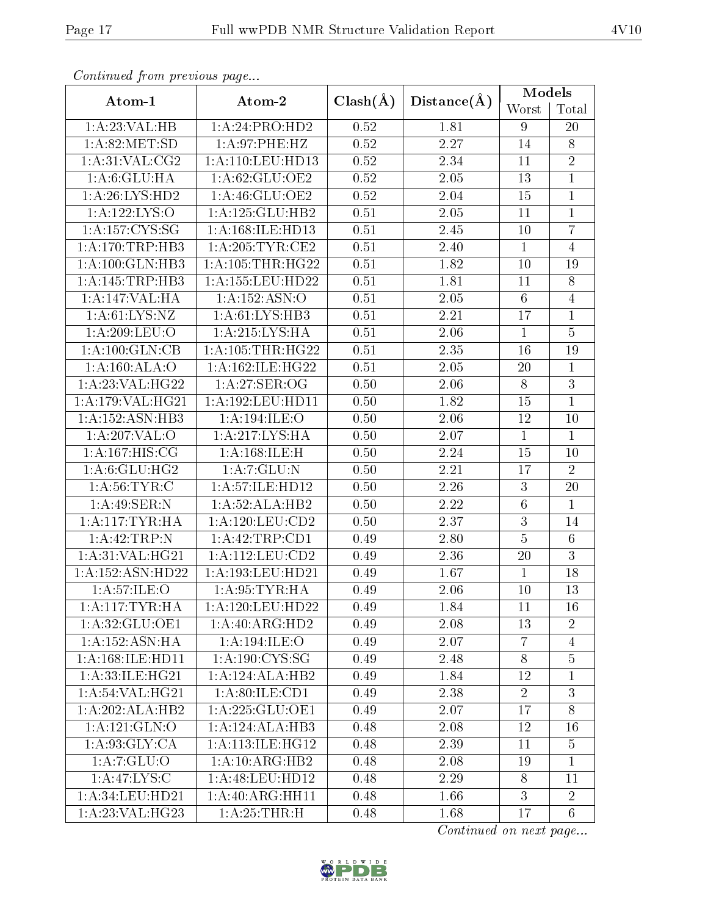| Continuou jiom protivus pago |                      |                   |             | Models           |                 |  |
|------------------------------|----------------------|-------------------|-------------|------------------|-----------------|--|
| Atom-1                       | Atom-2               | $Clash(\AA)$      | Distance(A) | Worst            | Total           |  |
| 1:A:23:VAL:HB                | 1:A:24:PRO:HD2       | 0.52              | 1.81        | 9                | 20              |  |
| 1: A:82: MET:SD              | 1:A:97:PHE:HZ        |                   | 2.27        | 14               | $8\,$           |  |
| 1: A:31: VAL: CG2            | 1: A: 110: LEU: HD13 | $0.52\,$          | 2.34        | 11               | $\overline{2}$  |  |
| 1: A:6: GLU: HA              | 1:A:62:GLU:OE2       | 0.52              | 2.05        | 13               | $\overline{1}$  |  |
| 1: A:26: LYS: HD2            | 1:A:46:GLU:OE2       | 0.52              | 2.04        | 15               | $\mathbf{1}$    |  |
| 1:A:122:LYS:O                | 1: A: 125: GLU: HB2  | 0.51              | 2.05        | 11               | $\mathbf{1}$    |  |
| 1:A:157:CYS:SG               | 1:A:168:ILE:HD13     | 0.51              | 2.45        | 10               | $\overline{7}$  |  |
| 1:A:170:TRP:HB3              | 1: A:205:TYR:CE2     | 0.51              | 2.40        | $\mathbf{1}$     | $\overline{4}$  |  |
| 1: A:100: GLN:HB3            | 1: A: 105: THR: HG22 | 0.51              | 1.82        | 10               | 19              |  |
| 1:A:145:TRP:HB3              | 1:A:155:LEU:HD22     | 0.51              | 1.81        | 11               | $8\,$           |  |
| 1:A:147:VAL:HA               | 1:A:152:ASN:O        | $\overline{0.51}$ | 2.05        | $6\phantom{.}6$  | $\overline{4}$  |  |
| 1: A:61:LYS:NZ               | 1:A:61:LYS:HB3       | 0.51              | 2.21        | 17               | $\mathbf{1}$    |  |
| 1:A:209:LEU:O                | 1:A:215:LYS:HA       | 0.51              | 2.06        | $\mathbf{1}$     | $\overline{5}$  |  |
| 1:A:100:GLN:CB               | 1: A:105:THR:HG22    | 0.51              | 2.35        | 16               | 19              |  |
| 1: A:160:ALA:O               | 1:A:162:ILE:HG22     | 0.51              | 2.05        | 20               | $\mathbf{1}$    |  |
| 1:A:23:VAL:HG22              | 1:A:27:SER:OG        | 0.50              | 2.06        | $8\,$            | $\overline{3}$  |  |
| 1:A:179:VAL:HG21             | 1:A:192:LEU:HD11     | 0.50              | 1.82        | 15               | $\overline{1}$  |  |
| 1: A: 152: ASN: HB3          | 1:A:194:ILE:O        | 0.50              | 2.06        | 12               | 10              |  |
| 1:A:207:VAL:O                | 1:A:217:LYS:HA       | 0.50              | 2.07        | $\mathbf{1}$     | $\mathbf{1}$    |  |
| 1:A:167:HIS:CG               | 1:A:168:ILE:H        | 0.50              | 2.24        | 15               | 10              |  |
| 1: A:6: GLU: HG2             | 1: A: 7: GLU: N      | 0.50              | 2.21        | 17               | $\overline{2}$  |  |
| 1: A:56:TYR:C                | 1:A:57:ILE:HD12      | 0.50              | 2.26        | 3                | 20              |  |
| 1:A:49:SER:N                 | 1:A:52:ALA:HB2       | 0.50              | 2.22        | $\,6\,$          | $\mathbf{1}$    |  |
| 1: A:117:TYR:HA              | 1: A: 120: LEU: CD2  | 0.50              | 2.37        | $\boldsymbol{3}$ | 14              |  |
| 1:A:42:TRP:N                 | 1:A:42:TRP:CD1       | 0.49              | 2.80        | $\bf 5$          | $6\,$           |  |
| 1: A:31: VAL: HG21           | 1: A: 112: LEU: CD2  | 0.49              | 2.36        | 20               | $\overline{3}$  |  |
| 1:A:152:ASN:HD22             | 1:A:193:LEU:HD21     | 0.49              | 1.67        | $\mathbf{1}$     | 18              |  |
| 1: A:57: ILE: O              | 1: A:95:TYR:HA       | 0.49              | 2.06        | 10               | $\overline{13}$ |  |
| 1: A:117: TYR: HA            | 1:A:120:LEU:HD22     | 0.49              | 1.84        | 11               | 16              |  |
| 1: A:32: GLU:OE1             | 1:A:40:ARG:HD2       | 0.49              | 2.08        | 13               | $\overline{2}$  |  |
| 1:A:152:ASN:HA               | 1:A:194:ILE:O        | 0.49              | 2.07        | $\overline{7}$   | $\overline{4}$  |  |
| 1: A: 168: ILE: HD11         | 1: A:190: CYS:SG     | 0.49              | 2.48        | 8                | $\overline{5}$  |  |
| 1: A: 33: ILE: HG21          | 1:A:124:ALA:HB2      | 0.49              | 1.84        | 12               | 1               |  |
| 1: A:54:VAL:HG21             | 1: A:80: ILE: CD1    | 0.49              | 2.38        | $\overline{2}$   | 3               |  |
| 1:A:202:ALA:HB2              | 1: A: 225: GLU: OE1  | 0.49              | 2.07        | 17               | $8\,$           |  |
| 1:A:121:GLN:O                | 1:A:124:ALA:HB3      | 0.48              | 2.08        | 12               | 16              |  |
| 1: A:93: GLY:CA              | 1: A:113: ILE: HG12  | 0.48              | 2.39        | 11               | 5               |  |
| 1:A:7:GLU:O                  | 1: A:10: ARG: HB2    | 0.48              | 2.08        | 19               | $\mathbf{1}$    |  |
| 1: A:47: LYS:C               | 1:A:48:LEU:HD12      | 0.48              | 2.29        | 8                | 11              |  |
| 1:A:34:LEU:HD21              | 1:A:40:ARG:HH11      | 0.48              | 1.66        | 3                | $\overline{2}$  |  |
| 1:A:23:VAL:HG23              | 1: A:25:THR:H        | 0.48              | 1.68        | 17               | $\overline{6}$  |  |

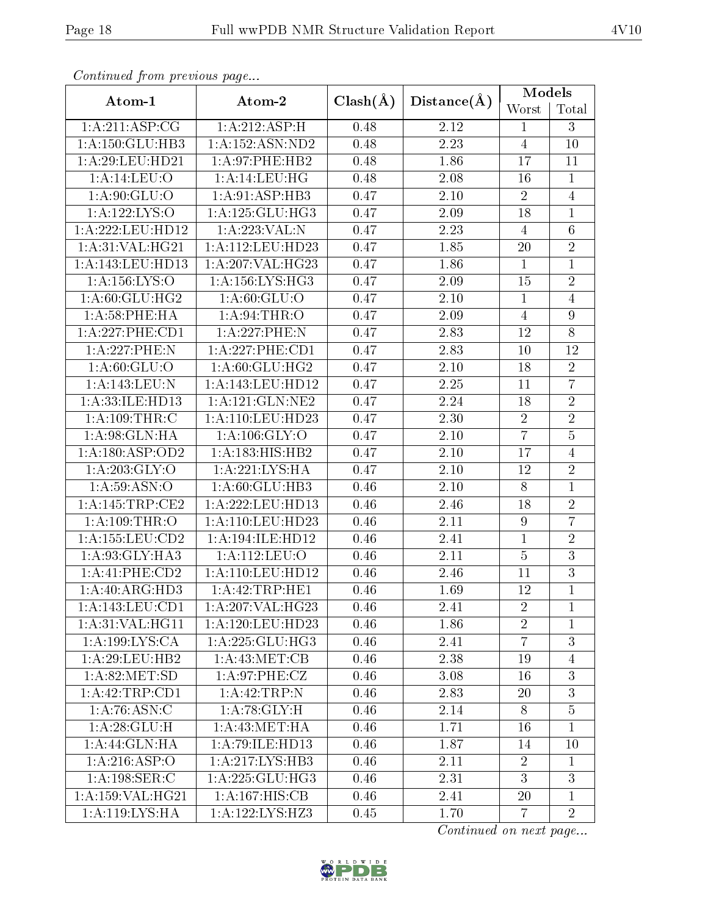| Conningea from previous page |                      |              |             | Models           |                |  |
|------------------------------|----------------------|--------------|-------------|------------------|----------------|--|
| Atom-1                       | Atom-2               | $Clash(\AA)$ | Distance(A) | Worst            | Total          |  |
| 1: A:211: ASP:CG             | 1:A:212:ASP:H        | 0.48         | 2.12        | $\mathbf 1$      | 3              |  |
| 1: A: 150: GLU: HB3          | 1: A: 152: ASN: ND2  | 0.48         | 2.23        | $\overline{4}$   | 10             |  |
| 1: A:29:LEU:HD21             | 1:A:97:PHE:HB2       | 0.48         | 1.86        | 17               | 11             |  |
| 1:A:14:LEU:O                 | 1: A:14:LEU:HG       | 0.48         | 2.08        | 16               | $\mathbf{1}$   |  |
| 1:A:90:GLU:O                 | 1: A:91: ASP:HB3     | 0.47         | 2.10        | $\sqrt{2}$       | $\overline{4}$ |  |
| 1:A:122:LYS:O                | 1: A: 125: GLU: HG3  | 0.47         | 2.09        | 18               | $\mathbf{1}$   |  |
| 1:A:222:LEU:HD12             | 1:A:223:VAL:N        | 0.47         | 2.23        | $\overline{4}$   | $\overline{6}$ |  |
| 1:A:31:VAL:HG21              | 1:A:112:LEU:HD23     | 0.47         | 1.85        | 20               | $\overline{2}$ |  |
| 1:A:143:LEU:HD13             | 1:A:207:VAL:HG23     | 0.47         | 1.86        | $\overline{1}$   | $\overline{1}$ |  |
| 1:A:156:LYS:O                | 1:A:156:LYS:HG3      | 0.47         | 2.09        | 15               | $\sqrt{2}$     |  |
| 1:A:60:GLU:HG2               | 1: A:60: GLU:O       | 0.47         | 2.10        | $\mathbf{1}$     | $\overline{4}$ |  |
| 1: A:58:PHE:HA               | 1: A:94:THR:O        | 0.47         | 2.09        | $\overline{4}$   | $9\phantom{.}$ |  |
| 1:A:227:PHE:CD1              | 1:A:227:PHE:N        | 0.47         | 2.83        | 12               | $\overline{8}$ |  |
| 1:A:227:PHE:N                | 1: A:227:PHE:CD1     | 0.47         | 2.83        | 10               | 12             |  |
| $1: A:60: \overline{GLU:O}$  | 1: A:60: GLU: HG2    | 0.47         | 2.10        | 18               | $\overline{2}$ |  |
| 1:A:143:LEU:N                | 1:A:143:LEU:HD12     | 0.47         | 2.25        | 11               | $\overline{7}$ |  |
| 1:A:33:ILE:HD13              | 1: A:121: GLN:NE2    | 0.47         | 2.24        | 18               | $\sqrt{2}$     |  |
| 1:A:109:THR:C                | 1: A: 110: LEU: HD23 | 0.47         | 2.30        | $\sqrt{2}$       | $\overline{2}$ |  |
| 1: A:98: GLN: HA             | 1:A:106:GLY:O        | 0.47         | 2.10        | $\overline{7}$   | $\overline{5}$ |  |
| 1:A:180:ASP:OD2              | 1:A:183:HIS:HB2      | 0.47         | 2.10        | 17               | $\overline{4}$ |  |
| 1: A:203: GLY:O              | 1: A:221:LYS:HA      | 0.47         | 2.10        | 12               | $\overline{2}$ |  |
| 1: A:59: ASN:O               | 1:A:60:GLU:HB3       | 0.46         | $2.10\,$    | $8\,$            | $\mathbf{1}$   |  |
| 1:A:145:TRP:CE2              | 1:A:222:LEU:HD13     | 0.46         | 2.46        | 18               | $\overline{2}$ |  |
| 1: A:109:THR:O               | 1: A:110: LEU: HD23  | 0.46         | 2.11        | $\boldsymbol{9}$ | $\overline{7}$ |  |
| 1: A: 155: LEU: CD2          | 1:A:194:ILE:HD12     | 0.46         | 2.41        | $\mathbf{1}$     | $\sqrt{2}$     |  |
| 1: A:93: GLY: HA3            | 1:A:112:LEU:O        | 0.46         | 2.11        | $\overline{5}$   | $\overline{3}$ |  |
| 1:A:41:PHE:CD2               | 1:A:110:LEU:HD12     | 0.46         | 2.46        | 11               | $\overline{3}$ |  |
| 1: A:40: ARG:HD3             | 1:A:42:TRP:HE1       | 0.46         | 1.69        | 12               | $\overline{1}$ |  |
| 1:A:143:LEU:CD1              | 1:A:207:VAL:HG23     | 0.46         | 2.41        | $\overline{2}$   | 1              |  |
| 1: A:31: VAL:HGI1            | 1:A:120:LEU:HD23     | 0.46         | 1.86        | $\overline{2}$   | $\mathbf{1}$   |  |
| 1: A: 199: LYS: CA           | 1:A:225:GLU:HG3      | 0.46         | 2.41        | $\overline{7}$   | $\overline{3}$ |  |
| 1: A:29: LEU:HB2             | 1: A:43:MET:CB       | 0.46         | 2.38        | 19               | $\overline{4}$ |  |
| 1: A:82: MET:SD              | 1: A:97:PHE: CZ      | 0.46         | 3.08        | 16               | 3              |  |
| 1: A: 42: TRP: CD1           | 1:A:42:TRP:N         | 0.46         | 2.83        | 20               | 3              |  |
| 1: A:76: ASN: C              | 1: A:78: GLY: H      | 0.46         | 2.14        | 8                | $\overline{5}$ |  |
| 1: A:28: GLU: H              | 1:A:43:MET:HA        | 0.46         | 1.71        | 16               | $\mathbf{1}$   |  |
| 1: A:44: GLN:HA              | 1:A:79:ILE:HD13      | 0.46         | 1.87        | 14               | 10             |  |
| 1:A:216:ASP:O                | 1: A: 217: LYS: HB3  | 0.46         | 2.11        | $\overline{2}$   | $\mathbf{1}$   |  |
| 1:A:198:SER:C                | 1:A:225:GLU:HG3      | 0.46         | 2.31        | 3                | 3              |  |
| 1:A:159:VAL:HG21             | 1:A:167:HIS:CB       | 0.46         | 2.41        | 20               | $\mathbf{1}$   |  |
| 1: A:119: LYS: HA            | 1:A:122:LYS:HZ3      | 0.45         | 1.70        | $\overline{7}$   | $\overline{2}$ |  |

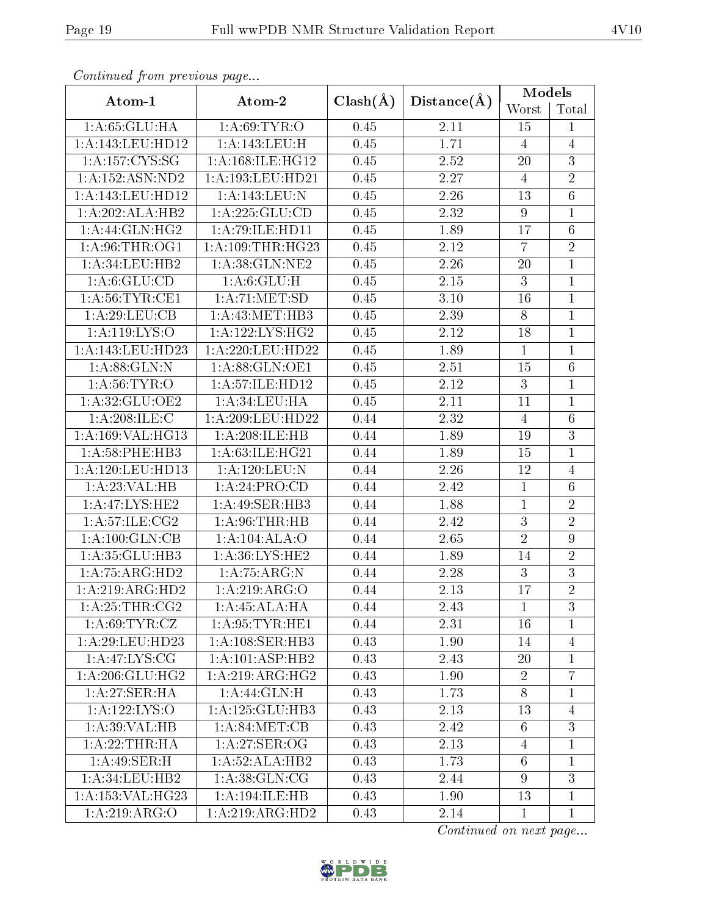| Conningea from previous page |                           |              |                   | Models           |                  |  |
|------------------------------|---------------------------|--------------|-------------------|------------------|------------------|--|
| Atom-1                       | Atom-2                    | $Clash(\AA)$ | Distance(A)       | Worst            | Total            |  |
| 1: A:65:GLU:HA               | 1: A:69:TYR:O             | 0.45         | 2.11              | 15               | $\mathbf{1}$     |  |
| 1:A:143:LEU:HD12             | 1:A:143:LEU:H             | 0.45         | 1.71              | $\overline{4}$   | $\overline{4}$   |  |
| 1:A:157:CYS:SG               | 1: A:168: ILE: HG12       | 0.45         | 2.52              | 20               | $\overline{3}$   |  |
| 1:A:152:ASN:ND2              | 1:A:193:LEU:HD21          | 0.45         | 2.27              | $\overline{4}$   | $\overline{2}$   |  |
| 1:A:143:LEU:HD12             | 1:A:143:LEU:N             | 0.45         | $2.26\,$          | 13               | $\overline{6}$   |  |
| 1:A:202:ALA:HB2              | 1: A: 225: GLU: CD        | 0.45         | 2.32              | $\boldsymbol{9}$ | $\mathbf 1$      |  |
| 1: A:44: GLN: HG2            | 1:A:79:ILE:HD11           | 0.45         | 1.89              | 17               | $\overline{6}$   |  |
| 1: A:96:THR:OG1              | 1: A:109:THR:HG23         | 0.45         | 2.12              | $\overline{7}$   | $\overline{2}$   |  |
| 1: A:34: LEU:HB2             | 1:A:38:GLN:NE2            | 0.45         | 2.26              | 20               | $\overline{1}$   |  |
| 1: A:6: GLU:CD               | 1: A:6: GLU:H             | 0.45         | 2.15              | $\boldsymbol{3}$ | 1                |  |
| 1: A:56:TYR:CE1              | 1:A:71:MET:SD             | 0.45         | $3.10\,$          | 16               | $\mathbf{1}$     |  |
| 1: A:29: LEU: CB             | 1:A:43:MET:HB3            | 0.45         | 2.39              | $8\,$            | $\mathbf{1}$     |  |
| 1:A:119:LYS:O                | 1:A:122:LYS:HG2           | 0.45         | 2.12              | 18               | $\overline{1}$   |  |
| 1:A:143:LEU:HD23             | 1:A:220:LEU:HD22          | 0.45         | 1.89              | $\mathbf{1}$     | $\mathbf{1}$     |  |
| 1: A:88: GLN:N               | 1:A:88:GLN:OE1            | 0.45         | 2.51              | 15               | $6\,$            |  |
| 1: A:56: TYR:O               | 1:A:57:ILE:HD12           | 0.45         | 2.12              | 3                | $\mathbf 1$      |  |
| 1:A:32:GLU:OE2               | 1: A:34:LEU:HA            | 0.45         | 2.11              | 11               | $\mathbf{1}$     |  |
| 1:A:208:ILE:C                | 1:A:209:LEU:HD22          | 0.44         | 2.32              | $\overline{4}$   | $\overline{6}$   |  |
| 1:A:169:VAL:HG13             | 1: A:208: ILE: HB         | 0.44         | 1.89              | 19               | 3                |  |
| $1: A:58:$ PHE:HB3           | 1: A:63: ILE: HG21        | 0.44         | 1.89              | 15               | $\mathbf{1}$     |  |
| 1:A:120:LEU:HD13             | $1:$ A:120:LEU:N          | 0.44         | 2.26              | 12               | $\overline{4}$   |  |
| 1:A:23:VAL:HB                | 1:A:24:PRO:CD             | 0.44         | 2.42              | $\mathbf{1}$     | $\overline{6}$   |  |
| 1:A:47:LYS:HE2               | 1:A:49:SER:HB3            | 0.44         | 1.88              | $\mathbf{1}$     | $\overline{2}$   |  |
| 1: A:57: ILE: CG2            | 1: A:96:THR:HB            | 0.44         | 2.42              | $\overline{3}$   | $\overline{2}$   |  |
| 1:A:100:GLN:CB               | 1:A:104:ALA:O             | 0.44         | 2.65              | $\sqrt{2}$       | $\boldsymbol{9}$ |  |
| 1:A:35:GLU:HB3               | 1: A:36: LYS: HE2         | 0.44         | 1.89              | 14               | $\overline{2}$   |  |
| 1: A:75: ARG:HD2             | 1: A: 75: ARG: N          | 0.44         | 2.28              | $\sqrt{3}$       | $\overline{3}$   |  |
| 1:A:219:ARG:HD2              | 1:A:219:ARG:O             | 0.44         | $\overline{2.13}$ | 17               | $\overline{2}$   |  |
| 1: A:25:THR:CG2              | 1:A:45:ALA:HA             | 0.44         | 2.43              | $\mathbf{1}$     | 3                |  |
| 1: A:69:TYR:CZ               | 1: A:95:TYR:HE1           | 0.44         | 2.31              | 16               | 1                |  |
| 1: A:29: LEU: HD23           | 1: A:108: SER:HB3         | 0.43         | 1.90              | 14               | $\overline{4}$   |  |
| 1:A:47:LYS:CG                | 1:A:101:ASP:HB2           | 0.43         | 2.43              | 20               | $\overline{1}$   |  |
| 1:A:206:GLU:HG2              | 1: A:219: ARG: HG2        | 0.43         | 1.90              | $\overline{2}$   | $\overline{7}$   |  |
| 1: A:27: SER:HA              | $1:A:44:GLN:\overline{H}$ | 0.43         | 1.73              | 8                | $\mathbf 1$      |  |
| 1:A:122:LYS:O                | 1:A:125:GLU:HB3           | 0.43         | 2.13              | 13               | $\overline{4}$   |  |
| 1:A:39:VAL:HB                | 1: A:84: MET:CB           | 0.43         | 2.42              | 6                | 3                |  |
| 1:A:22:THR:HA                | 1: A:27: SER:OG           | 0.43         | 2.13              | $\overline{4}$   | 1                |  |
| 1: A:49: SER:H               | 1: A:52: ALA:HB2          | 0.43         | 1.73              | $6\phantom{.}6$  | 1                |  |
| 1:A:34:LEU:HB2               | 1: A:38: GLN: CG          | 0.43         | 2.44              | 9                | $\overline{3}$   |  |
| 1:A:153:VAL:HG23             | 1: A:194: ILE: HB         | 0.43         | 1.90              | 13               | $\mathbf 1$      |  |
| 1:A:219:ARG:O                | 1:A:219:ARG:HD2           | 0.43         | 2.14              | $\mathbf{1}$     | $\mathbf{1}$     |  |

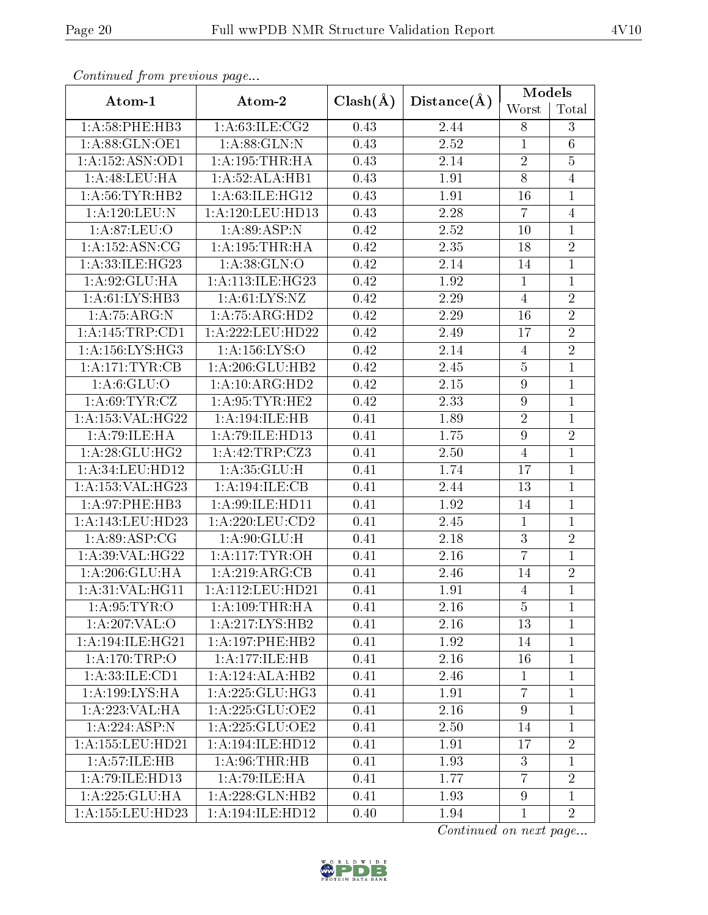| Conningea from previous page |                      |              |                   | Models           |                 |
|------------------------------|----------------------|--------------|-------------------|------------------|-----------------|
| Atom-1                       | Atom-2               | $Clash(\AA)$ | Distance(A)       | Worst            | Total           |
| 1:A:58:PHE:HB3               | 1: A:63: ILE: CG2    | 0.43         | 2.44              | 8                | 3               |
| 1:A:88:GLN:OE1               | 1:A:88:GLN:N         | 0.43         | 2.52              | $\mathbf{1}$     | $6\phantom{.}6$ |
| 1:A:152:ASN:OD1              | 1: A: 195: THR: HA   | 0.43         | 2.14              | $\sqrt{2}$       | $\overline{5}$  |
| 1: A:48: LEU: HA             | 1:A:52:ALA:HB1       | 0.43         | 1.91              | $\overline{8}$   | $\overline{4}$  |
| 1: A:56: TYR: HB2            | 1:A:63:ILE:HG12      | 0.43         | 1.91              | 16               | $\overline{1}$  |
| 1:A:120:LEU:N                | 1:A:120:LEU:HD13     | 0.43         | 2.28              | $\overline{7}$   | $\overline{4}$  |
| 1: A:87: LEU:O               | 1: A:89: ASP: N      | 0.42         | 2.52              | 10               | $\overline{1}$  |
| 1: A: 152: ASN: CG           | 1:A:195:THR:HA       | 0.42         | 2.35              | 18               | $\overline{2}$  |
| 1:A:33:ILE:HG23              | 1: A:38: GLN:O       | 0.42         | 2.14              | 14               | $\overline{1}$  |
| 1: A:92: GLU: HA             | 1:A:113:ILE:HG23     | 0.42         | 1.92              | $\mathbf{1}$     | 1               |
| 1: A:61: LYS:HB3             | 1: A:61: LYS: NZ     | 0.42         | $\overline{2.29}$ | $\overline{4}$   | $\overline{2}$  |
| 1:A:75:ARG:N                 | 1:A:75:ARG:HD2       | 0.42         | 2.29              | 16               | $\overline{2}$  |
| 1: A:145:TRP:CD1             | 1:A:222:LEU:HD22     | 0.42         | 2.49              | 17               | $\overline{2}$  |
| 1: A: 156: LYS: HG3          | 1:A:156:LYS:O        | 0.42         | 2.14              | $\overline{4}$   | $\overline{2}$  |
| 1:A:171:TYR:CB               | 1:A:206:GLU:HB2      | 0.42         | 2.45              | $\overline{5}$   | $\overline{1}$  |
| 1: A:6: GLU:O                | 1:A:10:ARG:HD2       | 0.42         | $2.15\,$          | $\boldsymbol{9}$ | $\overline{1}$  |
| 1: A:69:TYR:CZ               | 1: A:95:TYR:HE2      | 0.42         | 2.33              | $\boldsymbol{9}$ | $\overline{1}$  |
| 1:A:153:VAL:H G22            | 1: A:194: ILE: HB    | 0.41         | 1.89              | $\sqrt{2}$       | $\overline{1}$  |
| 1:A:79:ILE:HA                | 1:A:79:ILE:HD13      | 0.41         | 1.75              | $\boldsymbol{9}$ | $\overline{2}$  |
| 1: A:28: GLU:HG2             | 1:A:42:TRP:CZ3       | 0.41         | 2.50              | $\overline{4}$   | $\mathbf{1}$    |
| 1: A:34:LEU:HD12             | 1:A:35:GLU:H         | 0.41         | 1.74              | 17               | $\mathbf{1}$    |
| 1:A:153:VAL:HG23             | 1:A:194:ILE:CB       | 0.41         | 2.44              | 13               | $\overline{1}$  |
| 1:A:97:PHE:HB3               | 1:A:99:ILE:HD11      | 0.41         | 1.92              | 14               | $\overline{1}$  |
| 1:A:143:LEU:HD23             | 1:A:220:LEU:CD2      | 0.41         | 2.45              | $\mathbf 1$      | $\overline{1}$  |
| 1: A:89: ASP:CG              | 1: A:90: GLU:H       | 0.41         | 2.18              | $\sqrt{3}$       | $\overline{2}$  |
| 1:A:39:VAL:HG22              | 1: A:117: TYR: OH    | 0.41         | 2.16              | $\overline{7}$   | $\overline{1}$  |
| 1:A:206:GLU:HA               | 1:A:219:ARG:CB       | 0.41         | 2.46              | 14               | $\sqrt{2}$      |
| 1: A:31: VAL:HGI1            | 1:A:112:LEU:HD21     | 0.41         | 1.91              | $\overline{4}$   | $\overline{1}$  |
| 1: A:95: TYR:O               | 1: A: 109: THR: HA   | 0.41         | 2.16              | $\overline{5}$   | $\mathbf{1}$    |
| 1:A:207:VAL:O                | 1:A:217:LYS:HB2      | 0.41         | 2.16              | 13               | $\mathbf 1$     |
| 1:A:194:ILE:HG21             | 1:A:197:PHE:HB2      | 0.41         | 1.92              | 14               | $\mathbf{1}$    |
| 1:A:170:TRP:O                | 1:A:177:ILE:HB       | 0.41         | 2.16              | 16               | $\mathbf{1}$    |
| 1:A:33:ILE:CD1               | 1:A:124:ALA:HB2      | 0.41         | 2.46              | $\mathbf{1}$     | $\mathbf 1$     |
| 1:A:199:LYS:HA               | 1: A: 225: GLU: HG3  | 0.41         | 1.91              | $\overline{7}$   | $\mathbf{1}$    |
| 1:A:223:VAL:HA               | 1:A:225:GLU:OE2      | 0.41         | 2.16              | $9\phantom{.}$   | $\mathbf 1$     |
| 1:A:224:ASP:N                | 1: A: 225: GLU: OE2  | 0.41         | 2.50              | 14               | $\mathbf{1}$    |
| 1: A: 155: LEU: HD21         | 1: A: 194: ILE: HD12 | 0.41         | 1.91              | 17               | $\overline{2}$  |
| 1: A: 57: ILE: HB            | 1: A:96:THR:HB       | 0.41         | 1.93              | 3                | $\mathbf{1}$    |
| 1: A:79: ILE: HD13           | 1:A:79:ILE:HA        | 0.41         | 1.77              | $\overline{7}$   | $\overline{2}$  |
| 1:A:225:GLU:HA               | 1:A:228:GLN:HB2      | 0.41         | 1.93              | 9                | $\mathbf{1}$    |
| 1:A:155:LEU:HD23             | 1:A:194:ILE:HD12     | 0.40         | 1.94              | $\mathbf{1}$     | $\overline{2}$  |

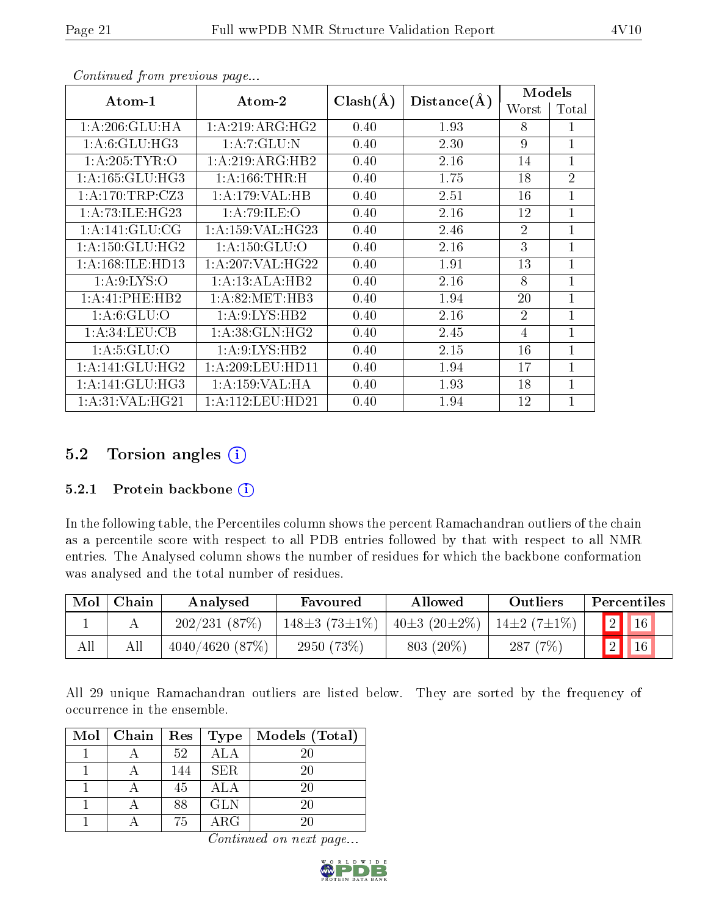| $Atom-1$<br>Atom-2   |                      | $Clash(\AA)$ | Distance(A) | Models         |                |
|----------------------|----------------------|--------------|-------------|----------------|----------------|
|                      |                      |              |             | Worst          | Total          |
| 1:A:206:GLU:HA       | 1:A:219:ARG:HG2      | 0.40         | 1.93        | 8              | 1              |
| 1: A:6: GLU: HG3     | 1: A: 7: GLU: N      | 0.40         | 2.30        | 9              | $\mathbf{1}$   |
| 1: A:205:TYR:O       | 1:A:219:ARG:HB2      | 0.40         | 2.16        | 14             | $\overline{1}$ |
| 1: A: 165: GLU: HG3  | 1: A: 166: THEN:H    | 0.40         | 1.75        | 18             | $\overline{2}$ |
| 1:A:170:TRP:CZ3      | 1:A:179:VAL:HB       | 0.40         | 2.51        | 16             | $\overline{1}$ |
| 1: A:73: ILE: HG23   | 1:A:79:ILE:O         | 0.40         | 2.16        | 12             | $\overline{1}$ |
| 1:A:141:GLU:CG       | 1: A: 159: VAL: HG23 | 0.40         | 2.46        | $\overline{2}$ | $\overline{1}$ |
| 1: A: 150: GLU: HG2  | 1: A: 150: GLU:O     | 0.40         | 2.16        | 3              | $\overline{1}$ |
| 1: A: 168: ILE: HD13 | 1: A:207: VAL:HG22   | 0.40         | 1.91        | 13             | $\mathbf{1}$   |
| 1: A:9: LYS:O        | 1: A:13: ALA:HB2     | 0.40         | 2.16        | 8              | $\overline{1}$ |
| 1:A:41:PHE:HB2       | 1: A:82:MET:HB3      | 0.40         | 1.94        | 20             | $\overline{1}$ |
| 1: A:6: GLU:O        | 1: A:9: LYS: HB2     | 0.40         | 2.16        | $\overline{2}$ | $\mathbf{1}$   |
| 1: A:34:LEU:CB       | 1: A:38: GLN: HG2    | 0.40         | 2.45        | 4              | $\mathbf{1}$   |
| 1: A:5: GLU:O        | 1: A:9: LYS: HB2     | 0.40         | 2.15        | 16             | $\overline{1}$ |
| 1: A:141: GLU: HG2   | 1:A:209:LEU:HDI1     | 0.40         | 1.94        | 17             | $\overline{1}$ |
| 1: A:141: GLU: HG3   | 1: A: 159: VAL: HA   | 0.40         | 1.93        | 18             | $\overline{1}$ |
| 1: A:31: VAL: HG21   | 1: A: 112: LEU: HD21 | 0.40         | 1.94        | 12             | $\overline{1}$ |

## 5.2 Torsion angles (i)

## 5.2.1 Protein backbone  $(i)$

In the following table, the Percentiles column shows the percent Ramachandran outliers of the chain as a percentile score with respect to all PDB entries followed by that with respect to all NMR entries. The Analysed column shows the number of residues for which the backbone conformation was analysed and the total number of residues.

| Mol | Chain | Analysed       | Favoured            | Allowed            | Outliers          | Percentiles              |
|-----|-------|----------------|---------------------|--------------------|-------------------|--------------------------|
|     |       | 202/231(87%)   | $148\pm3(73\pm1\%)$ | $40\pm3(20\pm2\%)$ | $14\pm2(7\pm1\%)$ | $\boxed{2}$ $\boxed{16}$ |
| All | All   | 4040/4620(87%) | $2950(73\%)$        | $803(20\%)$        | 287(7%)           |                          |

All 29 unique Ramachandran outliers are listed below. They are sorted by the frequency of occurrence in the ensemble.

| $Mol$   Chain | ${\rm Res}$ | Type       | Models (Total) |
|---------------|-------------|------------|----------------|
|               | 52          | ALA        | 20             |
|               | 144         | <b>SER</b> | 20             |
|               | 45          | <b>ALA</b> | 20             |
|               | 88          | <b>GLN</b> | 20             |
|               | 75          | $\rm{ARG}$ |                |

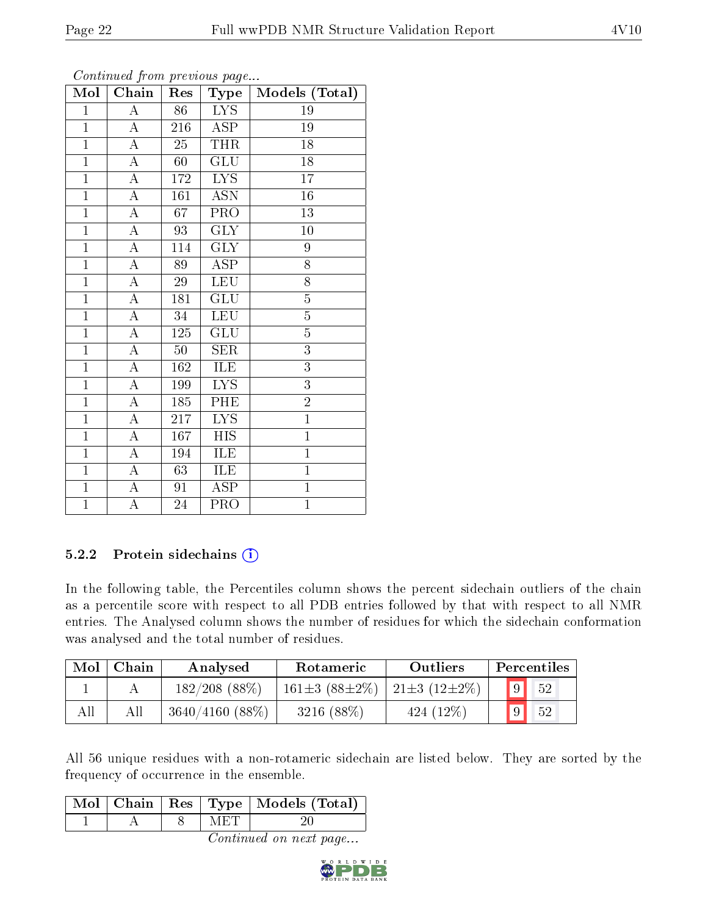| Mol            | contentava promo provisão pago<br>Chain | Res         | Type                     | Models (Total) |
|----------------|-----------------------------------------|-------------|--------------------------|----------------|
| $\mathbf{1}$   | $\boldsymbol{A}$                        | 86          | <b>LYS</b>               | 19             |
| $\overline{1}$ | $\overline{A}$                          | 216         | <b>ASP</b>               | 19             |
| $\overline{1}$ | $\overline{\rm A}$                      | 25          | THR                      | 18             |
| $\overline{1}$ | $\overline{\rm A}$                      | 60          | <b>GLU</b>               | 18             |
| $\overline{1}$ | $\overline{\rm A}$                      | 172         | $\overline{\text{LYS}}$  | 17             |
| $\overline{1}$ | $\overline{A}$                          | 161         | <b>ASN</b>               | 16             |
| $\overline{1}$ | $\overline{\rm A}$                      | 67          | PRO                      | 13             |
| $\overline{1}$ | $\overline{\rm A}$                      | 93          | <b>GLY</b>               | 10             |
| $\overline{1}$ | $\overline{\rm A}$                      | 114         | $\widetilde{\text{GLY}}$ | 9              |
| $\overline{1}$ | $\overline{\rm A}$                      | 89          | $\overline{\text{ASP}}$  | $\overline{8}$ |
| $\overline{1}$ | $\boldsymbol{A}$                        | $\sqrt{29}$ | <b>LEU</b>               | 8              |
| $\overline{1}$ | $\overline{A}$                          | 181         | $\overline{\text{GLU}}$  | $\overline{5}$ |
| $\overline{1}$ | $\overline{\rm A}$                      | 34          | <b>LEU</b>               | $\overline{5}$ |
| $\overline{1}$ | $\boldsymbol{A}$                        | 125         | <b>GLU</b>               | $\overline{5}$ |
| $\mathbf{1}$   | A                                       | $50\,$      | <b>SER</b>               | $\overline{3}$ |
| $\mathbf{1}$   | A                                       | 162         | ILE                      | $\overline{3}$ |
| $\overline{1}$ | $\overline{\rm A}$                      | 199         | $\overline{\text{LYS}}$  | $\overline{3}$ |
| $\mathbf{1}$   | $\boldsymbol{A}$                        | 185         | PHE                      | $\overline{2}$ |
| $\mathbf{1}$   | A                                       | 217         | <b>LYS</b>               | $\mathbf{1}$   |
| $\overline{1}$ | $\overline{\rm A}$                      | 167         | <b>HIS</b>               | $\overline{1}$ |
| $\mathbf{1}$   | $\boldsymbol{A}$                        | 194         | ILE                      | $\mathbf 1$    |
| $\mathbf{1}$   | $\boldsymbol{A}$                        | 63          | ILE                      | $\mathbf{1}$   |
| $\overline{1}$ | $\boldsymbol{A}$                        | 91          | ASP                      | $\mathbf{1}$   |
| $\overline{1}$ | $\overline{\rm A}$                      | 24          | PRO                      | $\overline{1}$ |

Continued from previous page.

## 5.2.2 Protein sidechains  $(i)$

In the following table, the Percentiles column shows the percent sidechain outliers of the chain as a percentile score with respect to all PDB entries followed by that with respect to all NMR entries. The Analysed column shows the number of residues for which the sidechain conformation was analysed and the total number of residues.

| Mol | Chain | Analysed         | Rotameric           | Outliers                |             | Percentiles |
|-----|-------|------------------|---------------------|-------------------------|-------------|-------------|
|     |       | $182/208$ (88\%) | $161\pm3(88\pm2\%)$ | $21\pm3$ ( $12\pm2\%$ ) | $\boxed{9}$ | 52          |
|     | All   | 3640/4160(88%)   | $3216(88\%)$        | $424(12\%)$             | 9           | 52          |

All 56 unique residues with a non-rotameric sidechain are listed below. They are sorted by the frequency of occurrence in the ensemble.

|  |  | Mol   Chain   Res   Type   Models (Total) |
|--|--|-------------------------------------------|
|  |  |                                           |

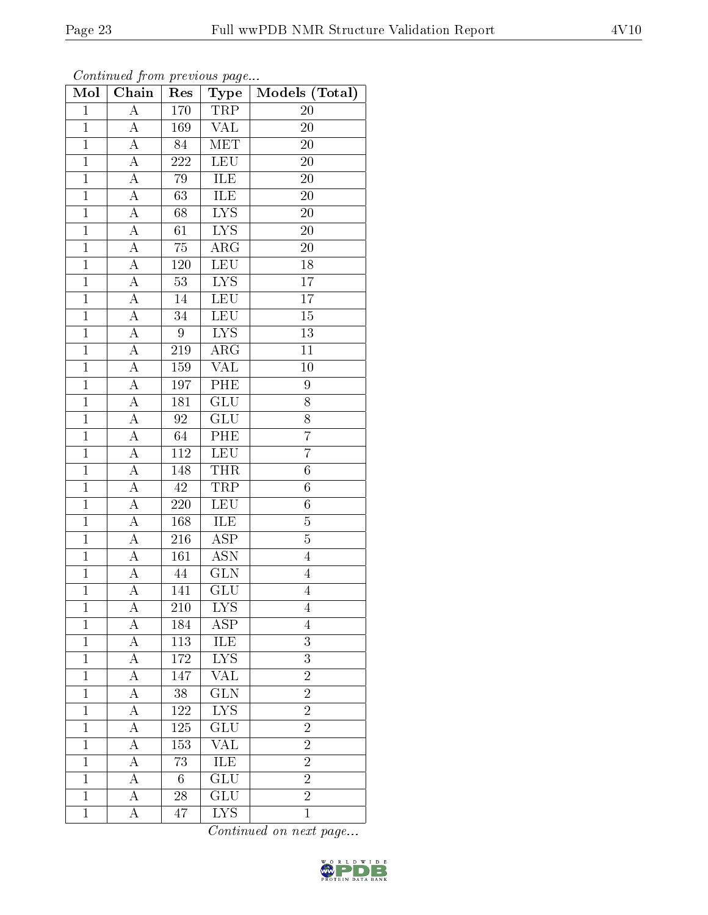| Mol            | Chain              | Res              | Type                    | Models (Total)   |
|----------------|--------------------|------------------|-------------------------|------------------|
| $\mathbf{1}$   | $\overline{\rm A}$ | $1\,70$          | TRP                     | 20               |
| $\mathbf{1}$   | A                  | 169              | <b>VAL</b>              | 20               |
| $\overline{1}$ | $\overline{\rm A}$ | 84               | $\overline{\text{MET}}$ | 20               |
| $\mathbf{1}$   | $\overline{A}$     | 222              | LEU                     | 20               |
| $\overline{1}$ | $\overline{A}$     | 79               | <b>ILE</b>              | <b>20</b>        |
| $\mathbf{1}$   | $\overline{A}$     | 63               | ILE                     | 20               |
| $\overline{1}$ | $\boldsymbol{A}$   | 68               | $\overline{\text{LYS}}$ | $20\overline{)}$ |
| $\mathbf{1}$   | $\overline{A}$     | 61               | <b>LYS</b>              | <b>20</b>        |
| $\overline{1}$ | $\boldsymbol{A}$   | $\overline{75}$  | ARG                     | 20               |
| $\overline{1}$ | $\overline{A}$     | 120              | <b>LEU</b>              | $18\,$           |
| $\overline{1}$ | $\boldsymbol{A}$   | 53               | $\overline{LYS}$        | 17               |
| $\mathbf{1}$   | $\boldsymbol{A}$   | 14               | <b>LEU</b>              | 17               |
| $\mathbf 1$    | А                  | 34               | <b>LEU</b>              | 15               |
| $\overline{1}$ | $\boldsymbol{A}$   | $\boldsymbol{9}$ | ${\rm LYS}$             | 13               |
| $\overline{1}$ | $\overline{\rm A}$ | 219              | $\overline{\rm{ARG}}$   | 11               |
| $\mathbf{1}$   | $\boldsymbol{A}$   | 159              | <b>VAL</b>              | 10               |
| $\mathbf{1}$   | $\overline{A}$     | 197              | PHE                     | 9                |
| $\mathbf 1$    | $\boldsymbol{A}$   | 181              | GLU                     | 8                |
| $\overline{1}$ | $\overline{A}$     | $9\overline{2}$  | GLU                     | 8                |
| $\overline{1}$ | $\overline{A}$     | 64               | PHE                     | $\overline{7}$   |
| $\mathbf{1}$   | $\boldsymbol{A}$   | 112              | <b>LEU</b>              | $\overline{7}$   |
| $\mathbf{1}$   | $\overline{A}$     | 148              | <b>THR</b>              | $\sqrt{6}$       |
| $\overline{1}$ | $\overline{A}$     | 42               | TRP                     | $6\phantom{.0}$  |
| $\overline{1}$ | $\overline{\rm A}$ | $\overline{220}$ | <b>LEU</b>              | $\overline{6}$   |
| $\mathbf{1}$   | $\overline{\rm A}$ | 168              | <b>ILE</b>              | $\overline{5}$   |
| $\overline{1}$ | $\boldsymbol{A}$   | 216              | <b>ASP</b>              | $\overline{5}$   |
| $\mathbf{1}$   | $\overline{A}$     | 161              | $\overline{\text{ASN}}$ | $\overline{4}$   |
| $\overline{1}$ | A                  | 44               | <b>GLN</b>              | $\overline{4}$   |
| $\overline{1}$ | $\overline{A}$     | 141              | $\overline{\text{GLU}}$ | $\overline{4}$   |
| 1              | А                  | 210              | <b>LYS</b>              | 4                |
| $\mathbf{1}$   | А                  | 184              | ASP                     | 4                |
| $\mathbf{1}$   | А                  | 113              | ILE                     | 3                |
| $\mathbf{1}$   | А                  | 172              | ${\rm LYS}$             | 3                |
| $\mathbf{1}$   | А                  | 147              | $\overline{\text{VAL}}$ | $\overline{2}$   |
| $\mathbf{1}$   | А                  | 38               | $\overline{\text{GLN}}$ | $\overline{2}$   |
| $\mathbf{1}$   | А                  | 122              | $\overline{\text{LYS}}$ | $\overline{2}$   |
| $\mathbf{1}$   | А                  | 125              | GLU                     | $\overline{2}$   |
| $\mathbf{1}$   | A                  | 153              | <b>VAL</b>              | $\overline{2}$   |
| $\mathbf{1}$   | A                  | 73               | <b>ILE</b>              | $\overline{2}$   |
| 1              | А                  | 6                | GLU                     | $\overline{2}$   |
| $\mathbf{1}$   | А                  | 28               | $\overline{\text{GLU}}$ | $\overline{2}$   |
| $\mathbf{1}$   | A                  | 47               | <b>LYS</b>              | $\mathbf{1}$     |

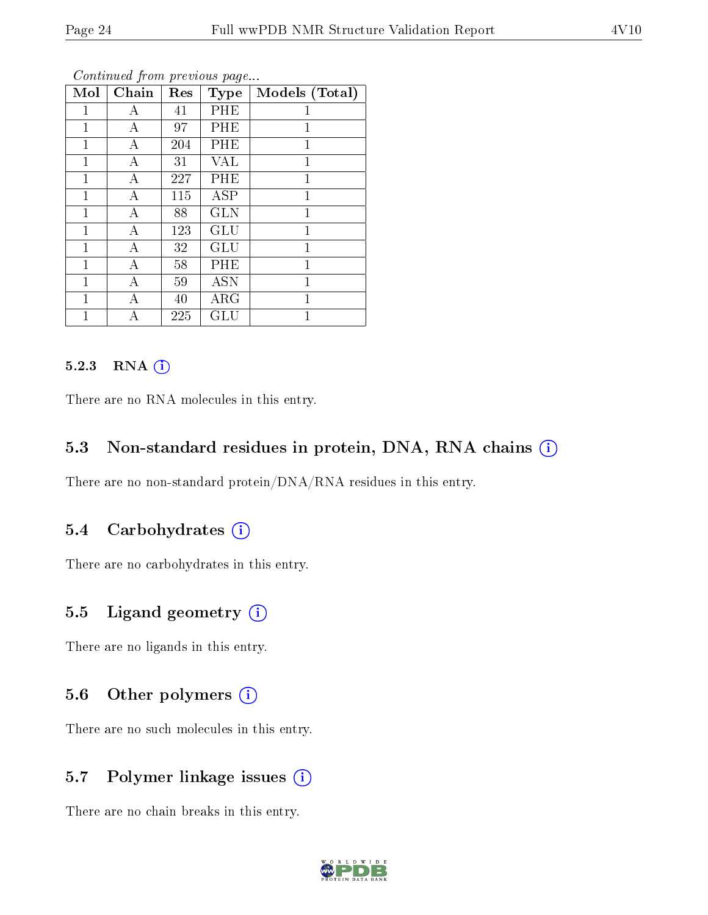| Mol          | Chain | Res | <b>Type</b> | Models (Total) |
|--------------|-------|-----|-------------|----------------|
| $\mathbf{1}$ | А     | 41  | PHE         | 1              |
| 1            | А     | 97  | PHE         | 1              |
| 1            | A     | 204 | PHE         | $\mathbf 1$    |
| 1            | А     | 31  | <b>VAL</b>  | 1              |
| 1            | А     | 227 | PHE         | 1              |
| $\mathbf{1}$ | A     | 115 | ASP         | $\mathbf{1}$   |
| 1            | А     | 88  | <b>GLN</b>  | 1              |
| 1            | A     | 123 | <b>GLU</b>  | $\mathbf{1}$   |
| 1            | А     | 32  | <b>GLU</b>  | 1              |
| 1            | Α     | 58  | PHE         | 1              |
| $\mathbf{1}$ | А     | 59  | <b>ASN</b>  | 1              |
| 1            | А     | 40  | $\rm{ARG}$  | 1              |
| 1            | А     | 225 | GLU         | 1              |

#### 5.2.3 RNA [O](https://www.wwpdb.org/validation/2017/NMRValidationReportHelp#rna)i

There are no RNA molecules in this entry.

## 5.3 Non-standard residues in protein, DNA, RNA chains (i)

There are no non-standard protein/DNA/RNA residues in this entry.

## 5.4 Carbohydrates (i)

There are no carbohydrates in this entry.

## 5.5 Ligand geometry (i)

There are no ligands in this entry.

## 5.6 [O](https://www.wwpdb.org/validation/2017/NMRValidationReportHelp#nonstandard_residues_and_ligands)ther polymers (i)

There are no such molecules in this entry.

## 5.7 Polymer linkage issues (i)

There are no chain breaks in this entry.

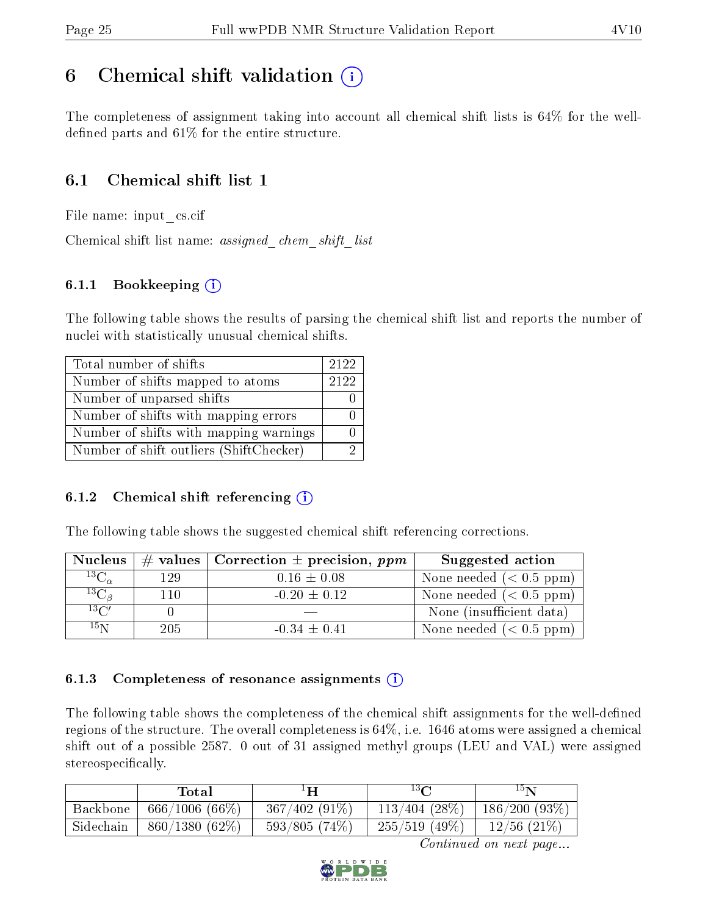# <span id="page-24-0"></span>6 Chemical shift validation  $\binom{1}{k}$

The completeness of assignment taking into account all chemical shift lists is 64% for the welldefined parts and  $61\%$  for the entire structure.

## 6.1 Chemical shift list 1

File name: input\_cs.cif

Chemical shift list name: assigned\_chem\_shift\_list

## 6.1.1 Bookkeeping (i)

The following table shows the results of parsing the chemical shift list and reports the number of nuclei with statistically unusual chemical shifts.

| Total number of shifts                  | 2122 |
|-----------------------------------------|------|
| Number of shifts mapped to atoms        | 2122 |
| Number of unparsed shifts               |      |
| Number of shifts with mapping errors    |      |
| Number of shifts with mapping warnings  |      |
| Number of shift outliers (ShiftChecker) |      |

## 6.1.2 Chemical shift referencing  $(i)$

The following table shows the suggested chemical shift referencing corrections.

| <b>Nucleus</b>      |     | # values   Correction $\pm$ precision, ppm | Suggested action          |
|---------------------|-----|--------------------------------------------|---------------------------|
| ${}^{13}C_{\alpha}$ | 129 | $0.16 \pm 0.08$                            | None needed $(0.5 ppm)$   |
| ${}^{13}C_{\beta}$  | 110 | $-0.20 \pm 0.12$                           | None needed $(0.5 ppm)$   |
| $13\text{C}$        |     |                                            | None (insufficient data)  |
| $15\,\mathrm{N}$    | 205 | $-0.34 \pm 0.41$                           | None needed $(< 0.5$ ppm) |

### 6.1.3 Completeness of resonance assignments  $(i)$

The following table shows the completeness of the chemical shift assignments for the well-defined regions of the structure. The overall completeness is 64%, i.e. 1646 atoms were assigned a chemical shift out of a possible 2587. 0 out of 31 assigned methyl groups (LEU and VAL) were assigned stereospecifically.

|           | Total            | н               | $^{13}C$         | $15\mathrm{N}$   |
|-----------|------------------|-----------------|------------------|------------------|
| Backbone  | $666/1006(66\%)$ | $367/402(91\%)$ | $113/404$ (28\%) | 186/200(93%)     |
| Sidechain | $860/1380(62\%)$ | 593/805(74%)    | $255/519$ (49\%) | $12/56$ $(21\%)$ |

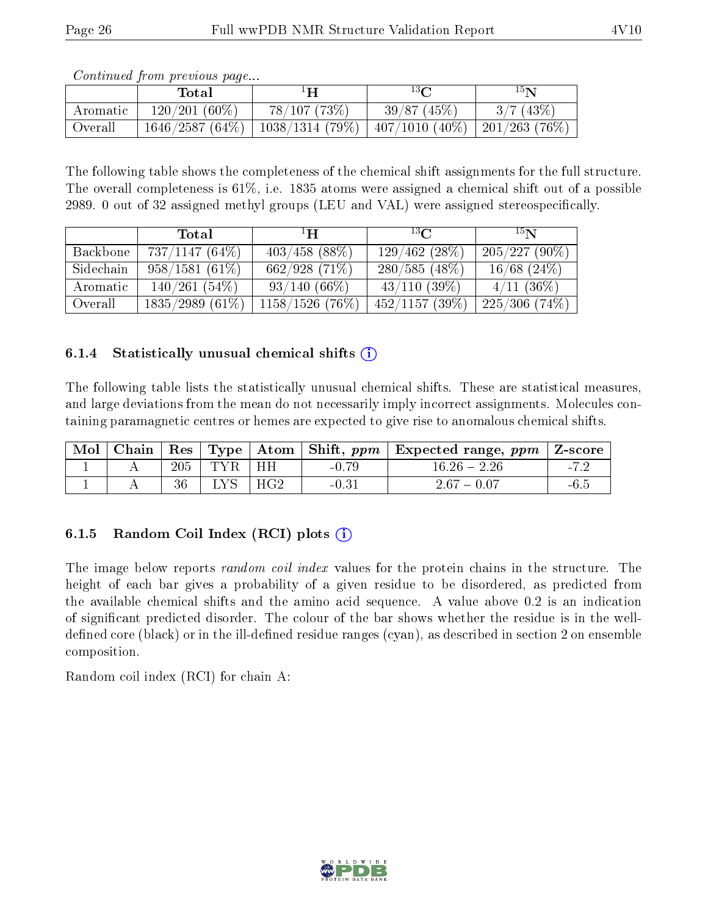|          | Total           | ŀН                                                                    | $13\Omega$ | 15 <sub>N</sub> |
|----------|-----------------|-----------------------------------------------------------------------|------------|-----------------|
| Aromatic | $120/201(60\%)$ | 78/107(73%)                                                           | 39/87(45%) | 3/7(43%)        |
| Overall  |                 | $1646/2587 (64\%)$   1038/1314 (79%)   407/1010 (40%)   201/263 (76%) |            |                 |

The following table shows the completeness of the chemical shift assignments for the full structure. The overall completeness is 61%, i.e. 1835 atoms were assigned a chemical shift out of a possible 2989. 0 out of 32 assigned methyl groups (LEU and VAL) were assigned stereospecifically.

|           | Total             | $\mathbf{H}^1$     | $^{13}$ $C$       | 15N              |
|-----------|-------------------|--------------------|-------------------|------------------|
| Backbone  | $737/1147(64\%)$  | $403/458$ (88\%)   | 129/462(28%)      | $205/227(90\%)$  |
| Sidechain | $958/1581(61\%)$  | 662/928(71%)       | $280/585(48\%)$   | $16/68$ (24\%)   |
| Aromatic  | $140/261(54\%)$   | $93/140(66\%)$     | $43/110$ $(39\%)$ | $4/11$ (36\%)    |
| Overall   | $1835/2989(61\%)$ | $1158/1526$ (76\%) | $452/1157$ (39\%) | $225/306$ (74\%) |

## 6.1.4 Statistically unusual chemical shifts  $(i)$

The following table lists the statistically unusual chemical shifts. These are statistical measures, and large deviations from the mean do not necessarily imply incorrect assignments. Molecules containing paramagnetic centres or hemes are expected to give rise to anomalous chemical shifts.

| Mol | Chain   Res |     | $\vert$ Type $\vert$ |     |         | Atom   Shift, $ppm$   Expected range, $ppm$   Z-score |        |
|-----|-------------|-----|----------------------|-----|---------|-------------------------------------------------------|--------|
|     |             | 205 | TYR                  | HH  | $-0.79$ | $16.26 - 2.26$                                        | $-1$   |
|     |             | 36  |                      | HG2 | $-0.31$ | $2.67 - 0.07$                                         | $-6.5$ |

## 6.1.5 Random Coil Index  $(RCI)$  plots  $(i)$

The image below reports *random coil index* values for the protein chains in the structure. The height of each bar gives a probability of a given residue to be disordered, as predicted from the available chemical shifts and the amino acid sequence. A value above 0.2 is an indication of signicant predicted disorder. The colour of the bar shows whether the residue is in the welldefined core (black) or in the ill-defined residue ranges (cyan), as described in section 2 on ensemble composition.

Random coil index (RCI) for chain A: